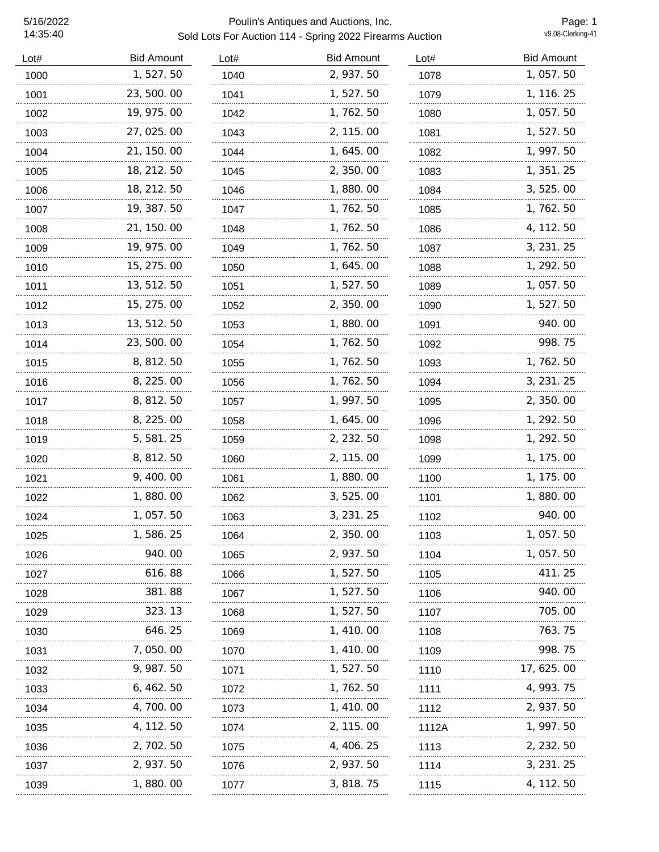| Lot# | <b>Bid Amount</b> | Lot# | <b>Bid Amount</b> | Lot#  | <b>Bid Amount</b> |
|------|-------------------|------|-------------------|-------|-------------------|
| 1000 | 1,527.50          | 1040 | 2, 937.50         | 1078  | 1,057.50          |
| 1001 | 23, 500. 00       | 1041 | 1, 527.50         | 1079  | 1, 116. 25        |
| 1002 | 19, 975.00        | 1042 | 1,762.50          | 1080  | 1, 057.50         |
| 1003 | 27, 025.00        | 1043 | 2, 115.00         | 1081  | 1, 527. 50        |
| 1004 | 21, 150. 00       | 1044 | 1, 645. 00        | 1082  | 1, 997.50         |
| 1005 | 18, 212. 50       | 1045 | 2, 350.00         | 1083  | 1, 351. 25        |
| 1006 | 18, 212. 50       | 1046 | 1,880.00          | 1084  | 3, 525.00         |
| 1007 | 19, 387. 50       | 1047 | 1,762.50          | 1085  | 1, 762. 50        |
| 1008 | 21, 150. 00       | 1048 | 1, 762. 50        | 1086  | 4, 112. 50        |
| 1009 | 19, 975.00        | 1049 | 1, 762. 50        | 1087  | 3, 231. 25        |
| 1010 | 15, 275.00        | 1050 | 1, 645. 00        | 1088  | 1, 292. 50        |
| 1011 | 13, 512. 50       | 1051 | 1, 527. 50        | 1089  | 1, 057.50         |
| 1012 | 15, 275. 00       | 1052 | 2, 350.00         | 1090  | 1, 527. 50        |
| 1013 | 13, 512. 50       | 1053 | 1,880.00          | 1091  | 940.00            |
| 1014 | 23, 500. 00       | 1054 | 1, 762. 50        | 1092  | 998.75            |
| 1015 | 8, 812. 50        | 1055 | 1, 762. 50        | 1093  | 1, 762. 50        |
| 1016 | 8, 225.00         | 1056 | 1, 762. 50        | 1094  | 3, 231. 25        |
| 1017 | 8, 812. 50        | 1057 | 1, 997. 50        | 1095  | 2, 350.00         |
| 1018 | 8, 225.00         | 1058 | 1, 645. 00        | 1096  | 1, 292. 50        |
| 1019 | 5, 581. 25        | 1059 | 2, 232. 50        | 1098  | 1, 292. 50        |
| 1020 | 8, 812. 50        | 1060 | 2, 115. 00        | 1099  | 1, 175. 00        |
| 1021 | 9, 400.00         | 1061 | 1,880.00          | 1100  | 1, 175.00         |
| 1022 | 1,880.00          | 1062 | 3, 525.00         | 1101  | 1,880.00          |
| 1024 | 1, 057.50         | 1063 | 3, 231. 25        | 1102  | 940.00            |
| 1025 | 1,586.25          | 1064 | 2, 350. 00        | 1103  | 1, 057.50         |
| 1026 | 940.00            | 1065 | 2, 937.50         | 1104  | 1, 057.50         |
| 1027 | 616.88            | 1066 | 1, 527. 50        | 1105  | 411.25            |
| 1028 | 381.88            | 1067 | 1, 527. 50        | 1106  | 940.00            |
| 1029 | 323.13            | 1068 | 1, 527. 50        | 1107  | 705.00            |
| 1030 | 646.25            | 1069 | 1, 410, 00        | 1108  | 763.75            |
| 1031 | 7,050.00          | 1070 | 1, 410, 00        | 1109  | 998.75            |
| 1032 | 9, 987. 50        | 1071 | 1, 527. 50        | 1110  | 17, 625. 00       |
| 1033 | 6, 462. 50        | 1072 | 1, 762. 50        | 1111  | 4, 993. 75        |
| 1034 | 4, 700. 00        | 1073 | 1, 410.00         | 1112  | 2, 937. 50        |
| 1035 | 4, 112. 50        | 1074 | 2, 115.00         | 1112A | 1, 997. 50        |
| 1036 | 2, 702. 50        | 1075 | 4, 406. 25        | 1113  | 2, 232. 50        |
| 1037 | 2, 937.50         | 1076 | 2, 937.50         | 1114  | 3, 231. 25        |
| 1039 | 1,880.00          | 1077 | 3, 818.75         | 1115  | 4, 112. 50        |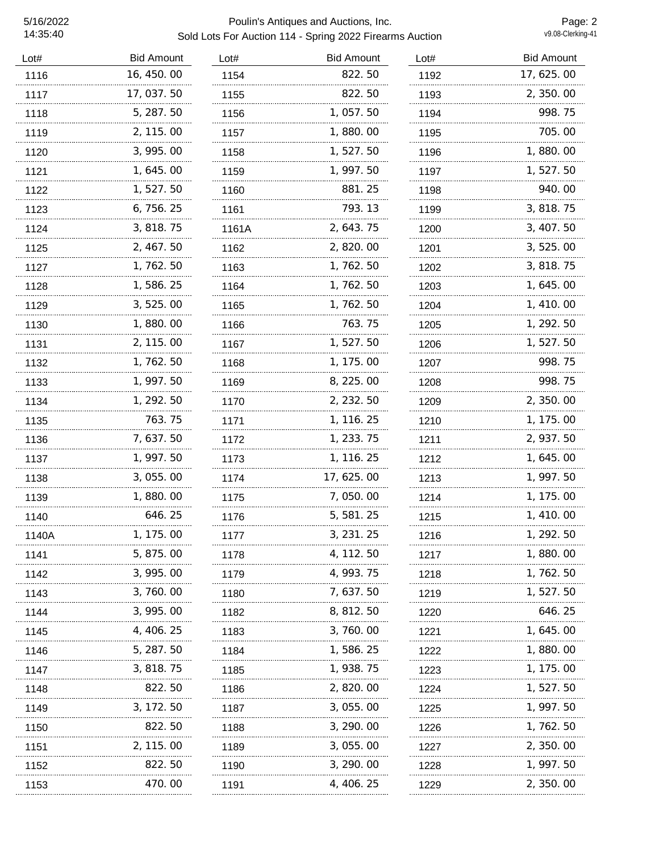### 5/16/2022 Poulin's Antiques and Auctions, Inc. Sold Lots For Auction 114 - Spring 2022 Firearms Auction

Page: 2<br>v9.08-Clerking-41

| Lot#  | <b>Bid Amount</b> | Lot#  | <b>Bid Amount</b> | Lot# | <b>Bid Amount</b> |
|-------|-------------------|-------|-------------------|------|-------------------|
| 1116  | 16, 450.00        | 1154  | 822.50            | 1192 | 17, 625.00        |
| 1117  | 17, 037.50        | 1155  | 822.50            | 1193 | 2, 350.00         |
| 1118  | 5, 287.50         | 1156  | 1,057.50          | 1194 | 998.75            |
| 1119  | 2, 115.00         | 1157  | 1,880.00          | 1195 | 705.00            |
| 1120  | 3, 995.00         | 1158  | 1,527.50          | 1196 | 1,880.00          |
| 1121  | 1, 645.00         | 1159  | 1, 997.50         | 1197 | 1, 527. 50        |
| 1122  | 1, 527. 50        | 1160  | 881.25            | 1198 | 940.00            |
| 1123  | 6, 756. 25        | 1161  | 793.13            | 1199 | 3, 818. 75        |
| 1124  | 3, 818.75         | 1161A | 2, 643. 75        | 1200 | 3, 407.50         |
| 1125  | 2, 467.50         | 1162  | 2,820.00          | 1201 | 3, 525.00         |
| 1127  | 1, 762. 50        | 1163  | 1, 762. 50        | 1202 | 3, 818. 75        |
| 1128  | 1, 586. 25        | 1164  | 1, 762. 50        | 1203 | 1, 645. 00        |
| 1129  | 3, 525.00         | 1165  | 1, 762. 50        | 1204 | 1, 410.00         |
| 1130  | 1,880.00          | 1166  | 763.75            | 1205 | 1, 292. 50        |
| 1131  | 2, 115.00         | 1167  | 1, 527.50         | 1206 | 1, 527. 50        |
| 1132  | 1, 762. 50        | 1168  | 1, 175.00         | 1207 | 998.75            |
| 1133  | 1, 997.50         | 1169  | 8, 225.00         | 1208 | 998.75            |
| 1134  | 1, 292. 50        | 1170  | 2, 232. 50        | 1209 | 2, 350.00         |
| 1135  | 763.75            | 1171  | 1, 116. 25        | 1210 | 1, 175.00         |
| 1136  | 7,637.50          | 1172  | 1, 233. 75        | 1211 | 2, 937.50         |
| 1137  | 1, 997.50         | 1173  | 1, 116. 25        | 1212 | 1, 645.00         |
| 1138  | 3,055.00          | 1174  | 17, 625.00        | 1213 | 1, 997. 50        |
| 1139  | 1,880.00          | 1175  | 7,050.00          | 1214 | 1, 175.00         |
| 1140  | 646.25            | 1176  | 5, 581.25         | 1215 | 1, 410.00         |
| 1140A | 175.00            | 1177  | 3, 231. 25        | 1216 | 1, 292.50         |
| 1141  | 5, 875.00         | 1178  | 4, 112. 50        | 1217 | 1,880.00          |
| 1142  | 3, 995.00         | 1179  | 4, 993. 75        | 1218 | 1, 762. 50        |
| 1143  | 3, 760. 00        | 1180  | 7, 637. 50        | 1219 | 1, 527. 50        |
| 1144  | 3, 995.00         | 1182  | 8, 812. 50        | 1220 | 646.25            |
| 1145  | 4, 406. 25        | 1183  | 3, 760. 00        | 1221 | 1, 645. 00        |
| 1146  | 5, 287.50         | 1184  | 1,586.25          | 1222 | 1, 880. 00        |
| 1147  | 3, 818. 75        | 1185  | 1, 938. 75        | 1223 | 1, 175. 00        |
| 1148  | 822.50            | 1186  | 2, 820.00         | 1224 | 1, 527. 50        |
| 1149  | 3, 172. 50        | 1187  | 3, 055. 00        | 1225 | 1, 997. 50        |
| 1150  | 822.50            | 1188  | 3, 290.00         | 1226 | 1, 762. 50        |
| 1151  | 2, 115, 00        | 1189  | 3, 055. 00        | 1227 | 2, 350. 00        |
| 1152  | 822.50            | 1190  | 3, 290.00         | 1228 | 1, 997. 50        |
| 1153  | 470.00            | 1191  | 4, 406. 25        | 1229 | 2, 350, 00        |
|       |                   |       |                   |      |                   |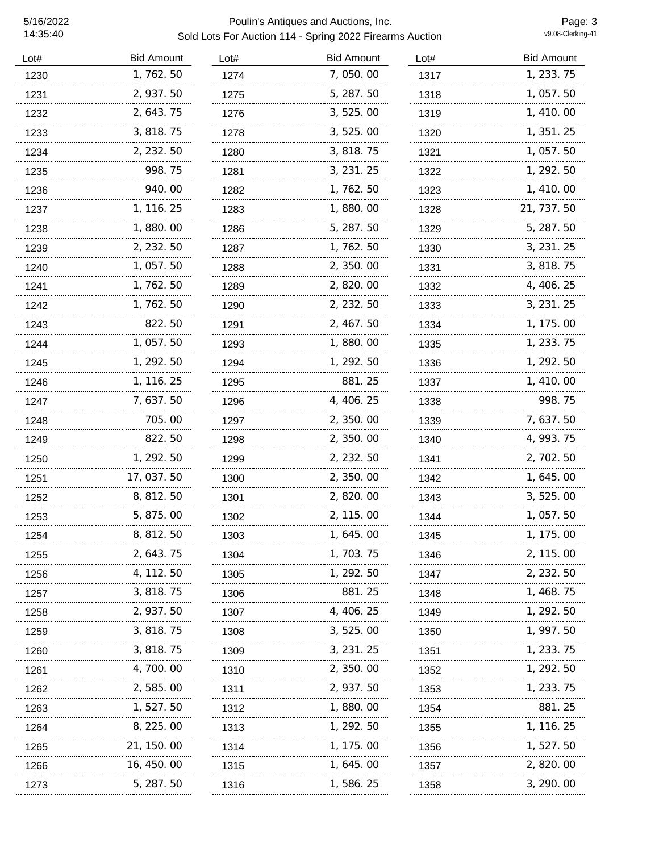| Lot# | <b>Bid Amount</b> | Lot# | <b>Bid Amount</b> | Lot# | <b>Bid Amount</b> |
|------|-------------------|------|-------------------|------|-------------------|
| 1230 | 1,762.50          | 1274 | 7,050.00          | 1317 | 1, 233. 75        |
| 1231 | 2, 937.50         | 1275 | 5, 287.50         | 1318 | 1, 057.50         |
| 1232 | 2, 643. 75        | 1276 | 3, 525.00         | 1319 | 1, 410.00         |
| 1233 | 3, 818.75         | 1278 | 3, 525.00         | 1320 | 1, 351. 25        |
| 1234 | 2, 232. 50        | 1280 | 3, 818. 75        | 1321 | 1, 057.50         |
| 1235 | 998.75            | 1281 | 3, 231. 25        | 1322 | 1, 292. 50        |
| 1236 | 940.00            | 1282 | 1, 762. 50        | 1323 | 1, 410.00         |
| 1237 | 1, 116. 25        | 1283 | 1,880.00          | 1328 | 21, 737. 50       |
| 1238 | 1,880.00          | 1286 | 5, 287. 50        | 1329 | 5, 287. 50        |
| 1239 | 2, 232.50         | 1287 | 1, 762. 50        | 1330 | 3, 231. 25        |
| 1240 | 1, 057.50         | 1288 | 2, 350.00         | 1331 | 3, 818.75         |
| 1241 | 1, 762. 50        | 1289 | 2, 820.00         | 1332 | 4, 406. 25        |
| 1242 | 1, 762. 50        | 1290 | 2, 232.50         | 1333 | 3, 231. 25        |
| 1243 | 822.50            | 1291 | 2, 467. 50        | 1334 | 1, 175.00         |
| 1244 | 1, 057.50         | 1293 | 1,880.00          | 1335 | 1, 233. 75        |
| 1245 | 1, 292. 50        | 1294 | 1, 292. 50        | 1336 | 1, 292. 50        |
| 1246 | 1, 116. 25        | 1295 | 881.25            | 1337 | 1, 410.00         |
| 1247 | 7, 637. 50        | 1296 | 4, 406. 25        | 1338 | 998.75            |
| 1248 | 705.00            | 1297 | 2, 350.00         | 1339 | 7, 637.50         |
| 1249 | 822.50            | 1298 | 2, 350.00         | 1340 | 4, 993. 75        |
| 1250 | 1, 292. 50        | 1299 | 2, 232.50         | 1341 | 2, 702. 50        |
| 1251 | 17,037.50         | 1300 | 2,350.00          | 1342 | 1, 645. 00        |
| 1252 | 8, 812. 50        | 1301 | 2, 820.00         | 1343 | 3, 525.00         |
| 1253 | 5, 875.00         | 1302 | 2, 115.00         | 1344 | 1,057.50          |
| 1254 | 8, 812. 50        | 1303 | 1, 645. 00        | 1345 | 1, 175. 00        |
| 1255 | 2, 643. 75        | 1304 | 1, 703. 75        | 1346 | 2, 115.00         |
| 1256 | 4, 112. 50        | 1305 | 1, 292. 50        | 1347 | 2, 232. 50        |
| 1257 | 3, 818. 75        | 1306 | 881.25            | 1348 | 1, 468. 75        |
| 1258 | 2, 937. 50        | 1307 | 4, 406. 25        | 1349 | 1, 292. 50        |
| 1259 | 3, 818. 75        | 1308 | 3, 525.00         | 1350 | 1, 997. 50        |
| 1260 | 3, 818.75         | 1309 | 3, 231. 25        | 1351 | 1, 233. 75        |
| 1261 | 4, 700. 00        | 1310 | 2, 350.00         | 1352 | 1, 292. 50        |
| 1262 | 2,585.00          | 1311 | 2, 937.50         | 1353 | 1, 233. 75        |
| 1263 | 1, 527. 50        | 1312 | 1,880.00          | 1354 | 881.25            |
| 1264 | 8, 225.00         | 1313 | 1, 292. 50        | 1355 | 1, 116. 25        |
| 1265 | 21, 150. 00       | 1314 | 1, 175. 00        | 1356 | 1, 527. 50        |
| 1266 | 16, 450. 00       | 1315 | 1, 645. 00        | 1357 | 2, 820, 00        |
| 1273 | 5, 287. 50        | 1316 | 1,586.25          | 1358 | 3, 290.00         |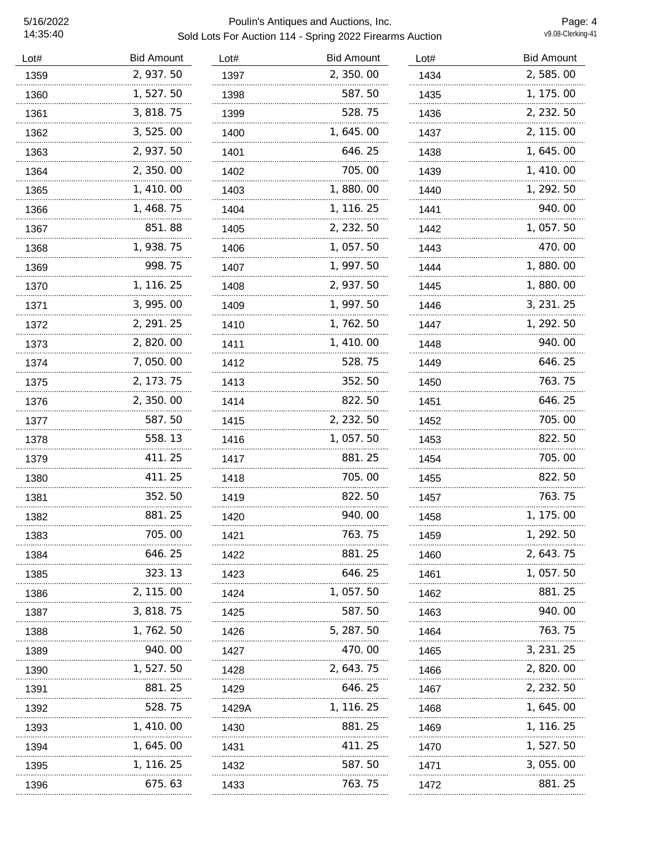| 2,585.00<br>1, 175.00<br>2, 232.50<br>2, 115.00<br>1,645.00<br>1, 410.00 |
|--------------------------------------------------------------------------|
|                                                                          |
|                                                                          |
|                                                                          |
|                                                                          |
|                                                                          |
|                                                                          |
| 1, 292. 50                                                               |
| 940.00                                                                   |
| 1,057.50                                                                 |
| 470.00                                                                   |
| 1,880.00                                                                 |
| 1,880.00                                                                 |
| 3, 231. 25                                                               |
| 1, 292.50                                                                |
| 940.00                                                                   |
| 646.25                                                                   |
| 763.75                                                                   |
| 646.25                                                                   |
| 705.00                                                                   |
| 822.50                                                                   |
| 705.00                                                                   |
| 822.50                                                                   |
| 763.75                                                                   |
| 1, 175.00                                                                |
| 1, 292, 50                                                               |
| 2, 643. 75                                                               |
| 1, 057. 50                                                               |
| 881.25                                                                   |
| 940.00                                                                   |
| 763.75                                                                   |
| 3, 231. 25                                                               |
| 2, 820.00                                                                |
| 2, 232. 50                                                               |
| 1, 645. 00                                                               |
| 1, 116. 25                                                               |
| 1, 527. 50                                                               |
| 3, 055. 00                                                               |
|                                                                          |
|                                                                          |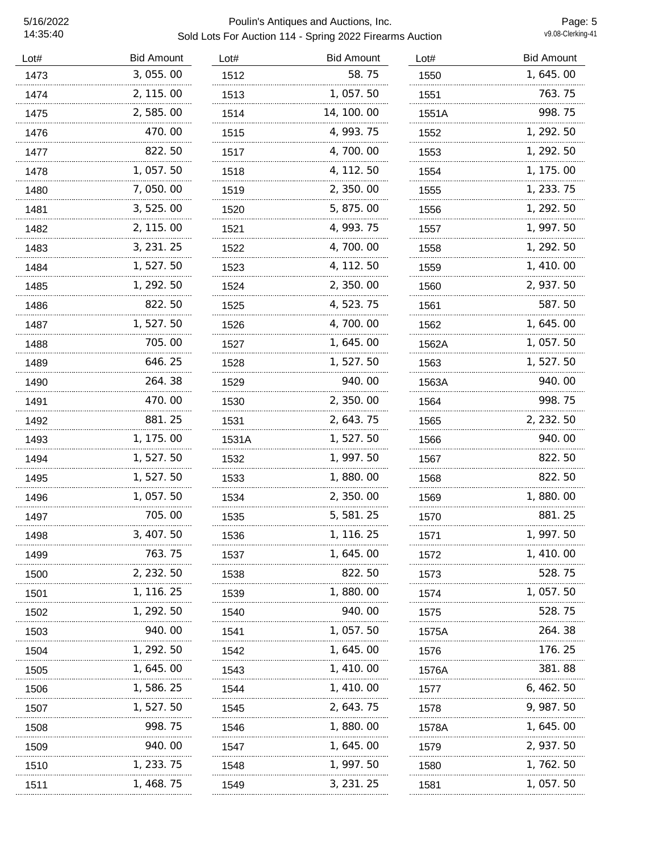### 5/16/2022 Poulin's Antiques and Auctions, Inc. Sold Lots For Auction 114 - Spring 2022 Firearms Auction

Page: 5<br>v9.08-Clerking-41

|             | 1550  | 1, 645.00  |
|-------------|-------|------------|
| 1,057.50    | 1551  | 763.75     |
| 14, 100. 00 | 1551A | 998.75     |
| 4, 993. 75  | 1552  | 1, 292.50  |
| 4,700.00    | 1553  | 1, 292.50  |
| 4, 112. 50  | 1554  | 1, 175.00  |
| 2, 350.00   | 1555  | 1, 233. 75 |
| 5, 875.00   | 1556  | 1, 292.50  |
| 4, 993. 75  | 1557  | 1, 997. 50 |
| 4,700.00    | 1558  | 1, 292.50  |
| 4, 112. 50  | 1559  | 1, 410.00  |
| 2, 350.00   | 1560  | 2, 937.50  |
| 4, 523. 75  | 1561  | 587.50     |
| 4,700.00    | 1562  | 1, 645. 00 |
| 1,645.00    | 1562A | 1,057.50   |
| 1, 527.50   | 1563  | 1, 527. 50 |
| 940.00      | 1563A | 940.00     |
| 2,350.00    | 1564  | 998.75     |
| 2, 643. 75  | 1565  | 2, 232.50  |
| 1, 527. 50  | 1566  | 940.00     |
| 1, 997.50   | 1567  | 822.50     |
| 1,880.00    | 1568  | 822.50     |
| 2, 350.00   | 1569  | 1,880.00   |
| 5, 581.25   | 1570  | 881.25     |
| 1, 116. 25  | 1571  | 1, 997.50  |
| 1, 645. 00  | 1572  | 1, 410.00  |
| 822.50      | 1573  | 528. 75    |
| 1,880.00    | 1574  | 1, 057.50  |
| 940.00      | 1575  | 528.75     |
| 1, 057.50   | 1575A | 264.38     |
| 1, 645, 00  | 1576  | 176. 25    |
| 1, 410.00   | 1576A | 381.88     |
| 1, 410.00   | 1577  | 6, 462. 50 |
| 2, 643. 75  | 1578  | 9, 987.50  |
| 1,880.00    | 1578A | 1, 645. 00 |
| 1, 645. 00  | 1579  | 2, 937.50  |
| 1, 997. 50  | 1580  | 1, 762. 50 |
| 3, 231. 25  | 1581  | 1, 057. 50 |
|             | 58.75 |            |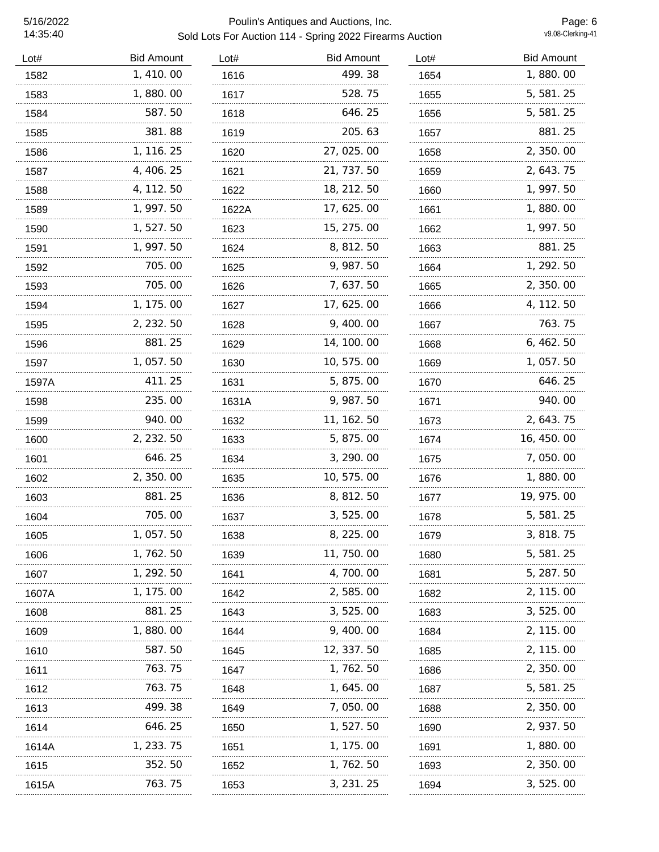| <b>Bid Amount</b> | Lot#  | <b>Bid Amount</b> | Lot# | <b>Bid Amount</b> |
|-------------------|-------|-------------------|------|-------------------|
| 1,410.00          | 1616  | 499.38            | 1654 | 1,880.00          |
| 1,880.00          | 1617  | 528.75            | 1655 | 5, 581. 25        |
| 587.50            | 1618  | 646.25            | 1656 | 5, 581.25         |
| 381.88            | 1619  | 205.63            | 1657 | 881.25            |
| 1, 116. 25        | 1620  | 27, 025.00        | 1658 | 2, 350.00         |
| 4, 406. 25        | 1621  | 21, 737. 50       | 1659 | 2, 643. 75        |
| 4, 112. 50        | 1622  | 18, 212. 50       | 1660 | 1, 997. 50        |
| 1, 997. 50        | 1622A | 17, 625. 00       | 1661 | 1,880.00          |
| 1, 527. 50        | 1623  | 15, 275.00        | 1662 | 1, 997. 50        |
| 1, 997. 50        | 1624  | 8, 812. 50        | 1663 | 881.25            |
| 705.00            | 1625  | 9, 987.50         | 1664 | 1, 292.50         |
| 705.00            | 1626  | 7,637.50          | 1665 | 2, 350.00         |
| 1, 175.00         | 1627  | 17, 625.00        | 1666 | 4, 112. 50        |
| 2, 232. 50        | 1628  | 9, 400.00         | 1667 | 763.75            |
| 881.25            | 1629  | 14, 100. 00       | 1668 | 6,462.50          |
| 1, 057.50         | 1630  | 10, 575.00        | 1669 | 1, 057.50         |
| 411.25            | 1631  | 5, 875.00         | 1670 | 646.25            |
| 235.00            | 1631A | 9, 987. 50        | 1671 | 940.00            |
| 940.00            | 1632  | 11, 162. 50       | 1673 | 2, 643. 75        |
| 2, 232. 50        | 1633  | 5, 875.00         | 1674 | 16, 450.00        |
| 646.25            | 1634  | 3, 290.00         | 1675 | 7,050.00          |
| 2, 350.00         | 1635  | 10, 575.00        | 1676 | 1,880.00          |
| 881.25            | 1636  | 8, 812. 50        | 1677 | 19, 975.00        |
| 705.00            | 1637  | 3, 525.00         | 1678 | 5, 581. 25        |
| 1,057.50          | 1638  | 8, 225.00         | 1679 | 3, 818. 75        |
| 1, 762. 50        | 1639  | 11, 750. 00       | 1680 | 5, 581. 25        |
| 1, 292. 50        | 1641  | 4, 700. 00        | 1681 | 5, 287. 50        |
| 1, 175. 00        | 1642  | 2, 585.00         | 1682 | 2, 115.00         |
| 881.25            | 1643  | 3,525.00          | 1683 | 3, 525.00         |
| 1, 880. 00        | 1644  | 9, 400.00         | 1684 | 2, 115.00         |
| 587.50            | 1645  | 12, 337. 50       | 1685 | 2, 115.00         |
| 763.75            | 1647  | 1, 762. 50        | 1686 | 2, 350. 00        |
| 763.75            | 1648  | 1, 645. 00        | 1687 | 5, 581. 25        |
| 499.38            | 1649  | 7, 050. 00        | 1688 | 2, 350, 00        |
| 646. 25           | 1650  | 1, 527. 50        | 1690 | 2, 937. 50        |
| 1, 233. 75        | 1651  | 1, 175. 00        | 1691 | 1,880.00          |
| 352.50            | 1652  | 1, 762. 50        | 1693 | 2, 350. 00        |
| 763.75            | 1653  | 3, 231. 25        | 1694 | 3, 525, 00        |
|                   |       |                   |      |                   |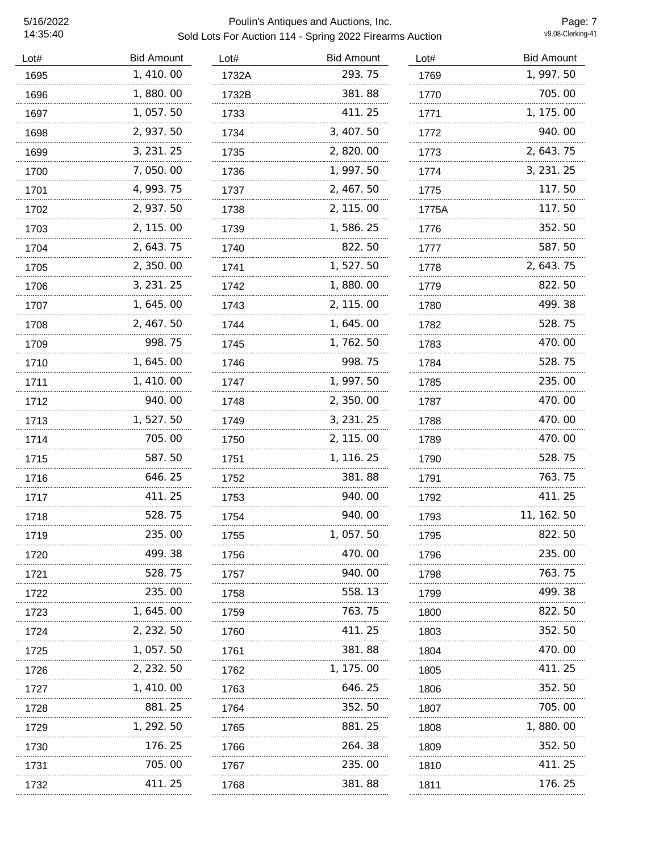| Lot# | <b>Bid Amount</b> | Lot#  | <b>Bid Amount</b> | Lot#      | <b>Bid Amount</b> |
|------|-------------------|-------|-------------------|-----------|-------------------|
| 1695 | 1,410.00          | 1732A | 293.75            | 1769      | 1, 997.50         |
| 1696 | 1,880.00          | 1732B | 381.88            | 1770      | 705.00            |
| 1697 | 1,057.50          | 1733  | 411.25            | 1771<br>. | 1, 175.00         |
| 1698 | 2, 937.50         | 1734  | 3, 407.50         | 1772      | 940.00            |
| 1699 | 3, 231. 25        | 1735  | 2,820.00          | 1773      | 2, 643. 75        |
| 1700 | 7,050.00          | 1736  | 1, 997.50         | 1774      | 3, 231. 25        |
| 1701 | 4, 993. 75        | 1737  | 2, 467.50         | 1775<br>. | 117.50            |
| 1702 | 2, 937.50         | 1738  | 2, 115.00         | 1775A     | 117.50            |
| 1703 | 2, 115.00         | 1739  | 1,586.25          | 1776      | 352.50            |
| 1704 | 2, 643. 75        | 1740  | 822.50            | 1777      | 587.50            |
| 1705 | 2,350.00          | 1741  | 1,527.50          | 1778      | 2, 643. 75        |
| 1706 | 3, 231. 25        | 1742  | 1,880.00          | 1779      | 822.50            |
| 1707 | 1, 645. 00        | 1743  | 2, 115.00         | 1780      | 499.38            |
| 1708 | 2, 467. 50        | 1744  | 1, 645. 00        | 1782      | 528.75            |
| 1709 | 998.75            | 1745  | 1,762.50          | 1783      | 470.00            |
| 1710 | 1,645.00          | 1746  | 998.75            | 1784      | 528.75            |
| 1711 | 1, 410.00         | 1747  | 1, 997.50         | 1785      | 235.00            |
| 1712 | 940.00            | 1748  | 2,350.00          | 1787      | 470.00            |
| 1713 | 1,527.50          | 1749  | 3, 231. 25        | 1788      | 470.00            |
| 1714 | 705.00            | 1750  | 2, 115.00         | 1789      | 470.00            |
| 1715 | 587.50            | 1751  | 1, 116. 25        | 1790      | 528.75            |
| 1716 | 646.25            | 1752  | 381.88            | 1791      | 763.75            |
| 1717 | 411.25            | 1753  | 940.00            | 1792      | 411.25            |
| 1718 | 528.75<br>.       | 1754  | 940.00            | 1793      | 11, 162. 50       |
| 1719 | 235.00            | 1755  | 1,057.50          | 1795      | 822.50            |
| 1720 | 499.38            | 1756  | 470.00            | 1796      | 235.00            |
| 1721 | 528.75            | 1757  | 940.00            | 1798      | 763.75            |
| 1722 | 235.00            | 1758  | 558.13            | 1799      | 499.38            |
| 1723 | 1, 645. 00        | 1759  | 763.75            | 1800      | 822.50            |
| 1724 | 2, 232. 50        | 1760  | 411.25            | 1803      | 352.50            |
| 1725 | 1, 057.50         | 1761  | 381.88            | 1804      | 470.00            |
| 1726 | 2, 232. 50        | 1762  | 1, 175.00         | 1805      | 411. 25           |
| 1727 | 1, 410, 00        | 1763  | 646. 25           | 1806      | 352.50            |
| 1728 | 881.25            | 1764  | 352.50            | 1807      | 705.00            |
| 1729 | 1, 292. 50        | 1765  | 881.25            | 1808      | 1,880.00          |
| 1730 | 176.25            | 1766  | 264.38            | 1809      | 352.50            |
| 1731 | 705.00            | 1767  | 235.00            | 1810      | 411. 25           |
| 1732 | 411. 25           | 1768  | 381.88            | 1811      | 176.25            |
|      |                   |       |                   |           |                   |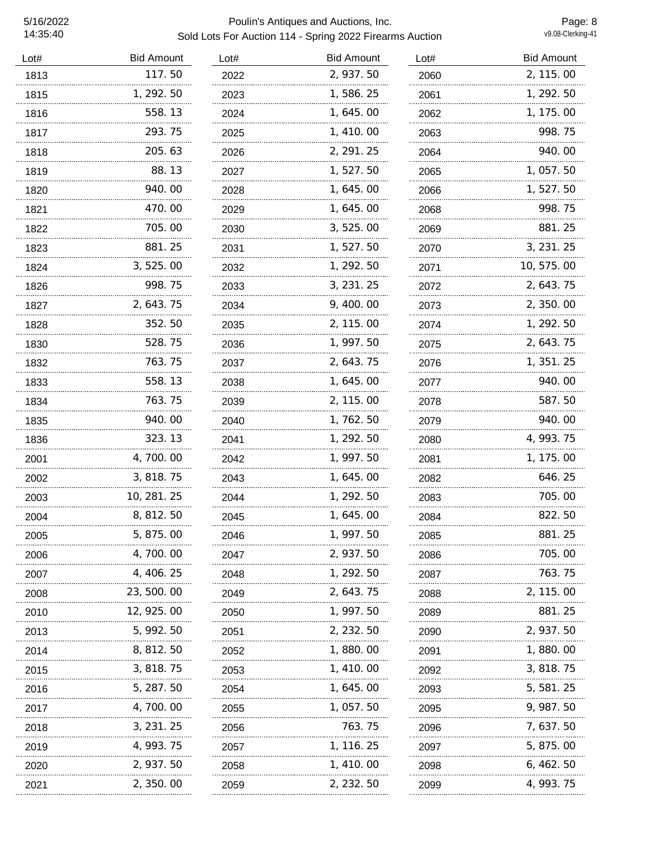| Lot# | <b>Bid Amount</b> | Lot# | <b>Bid Amount</b> | Lot# | <b>Bid Amount</b> |
|------|-------------------|------|-------------------|------|-------------------|
| 1813 | 117.50            | 2022 | 2, 937.50         | 2060 | 2, 115.00         |
| 1815 | 1, 292. 50        | 2023 | 1,586.25          | 2061 | 1, 292.50         |
| 1816 | 558.13            | 2024 | 1, 645. 00        | 2062 | 1, 175.00         |
| 1817 | 293.75            | 2025 | 1, 410.00         | 2063 | 998.75            |
| 1818 | 205.63            | 2026 | 2, 291. 25        | 2064 | 940.00            |
| 1819 | 88.13             | 2027 | 1,527.50          | 2065 | 1, 057.50         |
| 1820 | 940.00            | 2028 | 1, 645.00         | 2066 | 1, 527. 50        |
| 1821 | 470.00            | 2029 | 1, 645.00         | 2068 | 998.75            |
| 1822 | 705.00            | 2030 | 3, 525.00         | 2069 | 881.25            |
| 1823 | 881.25            | 2031 | 1, 527.50         | 2070 | 3, 231. 25        |
| 1824 | 3, 525.00         | 2032 | 1, 292.50         | 2071 | 10, 575.00        |
| 1826 | 998.75            | 2033 | 3, 231. 25        | 2072 | 2, 643. 75        |
| 1827 | 2, 643. 75        | 2034 | 9, 400.00         | 2073 | 2, 350.00         |
| 1828 | 352.50            | 2035 | 2, 115.00         | 2074 | 1, 292. 50        |
| 1830 | 528.75            | 2036 | 1, 997.50         | 2075 | 2, 643. 75        |
| 1832 | 763.75            | 2037 | 2, 643. 75        | 2076 | 1, 351. 25        |
| 1833 | 558.13            | 2038 | 1, 645.00         | 2077 | 940.00            |
| 1834 | 763.75            | 2039 | 2, 115.00         | 2078 | 587.50            |
| 1835 | 940.00            | 2040 | 1, 762. 50        | 2079 | 940.00            |
| 1836 | 323.13            | 2041 | 1, 292. 50        | 2080 | 4, 993. 75        |
| 2001 | 4,700.00          | 2042 | 1, 997.50         | 2081 | 1, 175.00         |
| 2002 | 3, 818.75         | 2043 | 1,645.00          | 2082 | 646.25            |
| 2003 | 10, 281. 25       | 2044 | 1, 292. 50        | 2083 | 705.00            |
| 2004 | 8, 812. 50        | 2045 | 1,645.00          | 2084 | 822.50            |
| 2005 | 5,875.00          | 2046 | 1, 997.50         | 2085 | 881.25            |
| 2006 | 4, 700. 00        | 2047 | 2, 937.50         | 2086 | 705.00            |
| 2007 | 4, 406. 25        | 2048 | 1, 292. 50        | 2087 | 763. 75           |
| 2008 | 23, 500. 00       | 2049 | 2, 643. 75        | 2088 | 2, 115.00         |
| 2010 | 12, 925. 00       | 2050 | 1, 997. 50        | 2089 | 881.25            |
| 2013 | 5, 992. 50        | 2051 | 2, 232. 50        | 2090 | 2, 937.50         |
| 2014 | 8, 812. 50        | 2052 | 1, 880. 00        | 2091 | 1, 880. 00        |
| 2015 | 3, 818. 75        | 2053 | 1, 410. 00        | 2092 | 3, 818. 75        |
| 2016 | 5, 287. 50        | 2054 | 1, 645. 00        | 2093 | 5, 581. 25        |
| 2017 | 4, 700. 00        | 2055 | 1, 057.50         | 2095 | 9, 987. 50        |
| 2018 | 3, 231. 25        | 2056 | 763.75            | 2096 | 7, 637. 50        |
| 2019 | 4, 993. 75        | 2057 | 1, 116. 25        | 2097 | 5, 875.00         |
| 2020 | 2, 937.50         | 2058 | 1, 410.00         | 2098 | 6, 462. 50        |
| 2021 | 2, 350. 00        | 2059 | 2, 232. 50        | 2099 | 4, 993. 75        |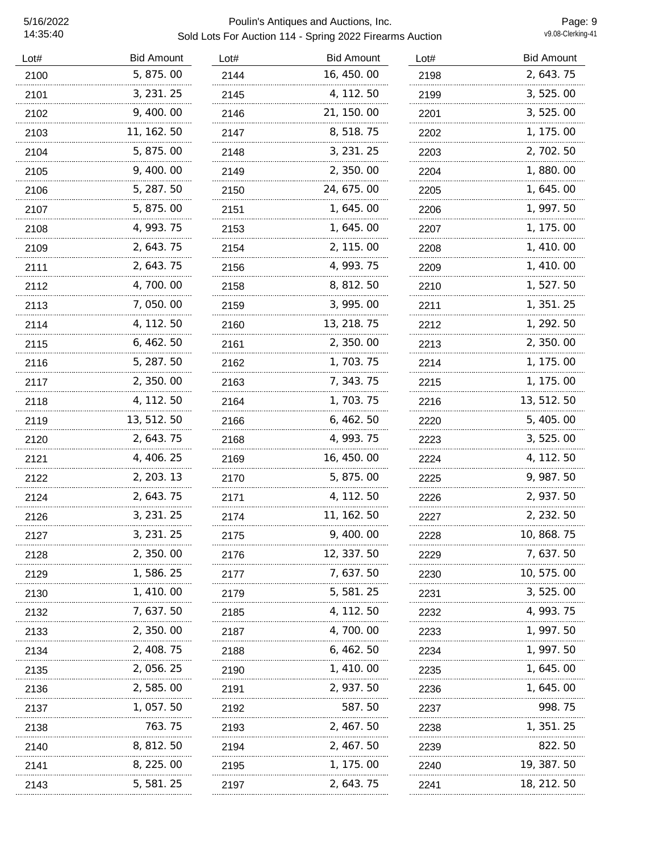| Lot# | <b>Bid Amount</b> | Lot# | <b>Bid Amount</b> | Lot# | <b>Bid Amount</b> |
|------|-------------------|------|-------------------|------|-------------------|
| 2100 | 5, 875.00         | 2144 | 16, 450.00        | 2198 | 2, 643. 75        |
| 2101 | 3, 231. 25        | 2145 | 4, 112. 50        | 2199 | 3, 525.00         |
| 2102 | 9,400.00          | 2146 | 21, 150.00        | 2201 | 3, 525.00         |
| 2103 | 11, 162. 50       | 2147 | 8, 518. 75        | 2202 | 1, 175.00         |
| 2104 | 5, 875.00         | 2148 | 3, 231. 25        | 2203 | 2, 702. 50        |
| 2105 | 9, 400. 00        | 2149 | 2, 350.00         | 2204 | 1,880.00          |
| 2106 | 5, 287. 50        | 2150 | 24, 675. 00       | 2205 | 1, 645. 00        |
| 2107 | 5, 875.00         | 2151 | 1, 645.00         | 2206 | 1, 997. 50        |
| 2108 | 4, 993. 75        | 2153 | 1, 645.00         | 2207 | 1, 175.00         |
| 2109 | 2, 643. 75        | 2154 | 2, 115.00         | 2208 | 1, 410. 00        |
| 2111 | 2, 643. 75        | 2156 | 4, 993. 75        | 2209 | 1, 410.00         |
| 2112 | 4, 700. 00        | 2158 | 8, 812. 50        | 2210 | 1, 527. 50        |
| 2113 | 7,050.00          | 2159 | 3, 995.00         | 2211 | 1, 351. 25        |
| 2114 | 4, 112. 50        | 2160 | 13, 218. 75       | 2212 | 1, 292. 50        |
| 2115 | 6, 462. 50        | 2161 | 2, 350.00         | 2213 | 2, 350.00         |
| 2116 | 5, 287. 50        | 2162 | 1, 703. 75        | 2214 | 1, 175.00         |
| 2117 | 2,350.00          | 2163 | 7, 343. 75        | 2215 | 1, 175.00         |
| 2118 | 4, 112. 50        | 2164 | 1, 703. 75        | 2216 | 13, 512. 50       |
| 2119 | 13, 512. 50       | 2166 | 6,462.50          | 2220 | 5, 405. 00        |
| 2120 | 2, 643. 75        | 2168 | 4, 993. 75        | 2223 | 3, 525.00         |
| 2121 | 4, 406. 25        | 2169 | 16, 450.00        | 2224 | 4, 112. 50        |
| 2122 | 2, 203. 13        | 2170 | 5, 875.00         | 2225 | 9, 987. 50        |
| 2124 | 2, 643. 75        | 2171 | 4, 112. 50        | 2226 | 2, 937.50         |
| 2126 | 3, 231. 25        | 2174 | 11, 162. 50       | 2227 | 2, 232. 50        |
| 2127 | 3, 231. 25        | 2175 | 9, 400.00         | 2228 | 10, 868. 75       |
| 2128 | 2, 350.00         | 2176 | 12, 337.50        | 2229 | 7, 637. 50        |
| 2129 | 1, 586. 25        | 2177 | 7, 637. 50        | 2230 | 10, 575.00        |
| 2130 | 1, 410.00         | 2179 | 5, 581. 25        | 2231 | 3, 525.00         |
| 2132 | 7, 637. 50        | 2185 | 4, 112. 50        | 2232 | 4, 993. 75        |
| 2133 | 2, 350.00         | 2187 | 4, 700. 00        | 2233 | 1, 997. 50        |
| 2134 | 2, 408. 75        | 2188 | 6, 462. 50        | 2234 | 1, 997. 50        |
| 2135 | 2, 056. 25        | 2190 | 1, 410.00         | 2235 | 1, 645. 00        |
| 2136 | 2,585.00          | 2191 | 2, 937.50         | 2236 | 1, 645. 00        |
| 2137 | 1, 057.50         | 2192 | 587.50            | 2237 | 998.75            |
| 2138 | 763.75            | 2193 | 2, 467. 50        | 2238 | 1, 351. 25        |
| 2140 | 8, 812. 50        | 2194 | 2, 467. 50        | 2239 | 822.50            |
| 2141 | 8, 225. 00        | 2195 | 1, 175.00         | 2240 | 19, 387. 50       |
| 2143 | 5, 581. 25        | 2197 | 2, 643. 75        | 2241 | 18, 212. 50       |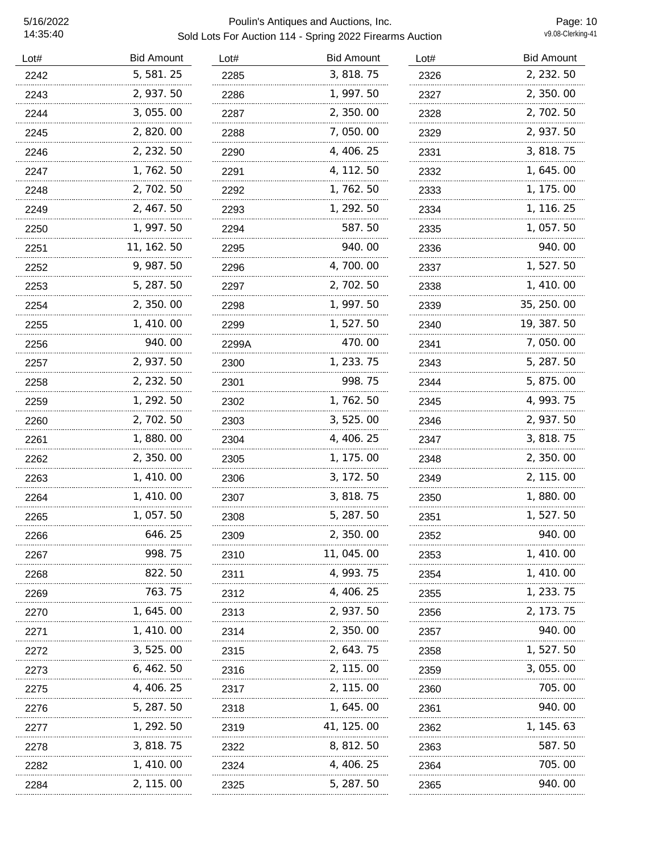| Lot# | <b>Bid Amount</b> | Lot#  | <b>Bid Amount</b> | Lot# | <b>Bid Amount</b> |
|------|-------------------|-------|-------------------|------|-------------------|
| 2242 | 5, 581.25         | 2285  | 3, 818.75         | 2326 | 2, 232.50         |
| 2243 | 2, 937.50         | 2286  | 1, 997.50         | 2327 | 2, 350.00         |
| 2244 | 3, 055. 00        | 2287  | 2, 350.00         | 2328 | 2, 702. 50        |
| 2245 | 2, 820.00         | 2288  | 7,050.00          | 2329 | 2, 937.50         |
| 2246 | 2, 232. 50        | 2290  | 4, 406. 25        | 2331 | 3, 818. 75        |
| 2247 | 1, 762. 50        | 2291  | 4, 112. 50        | 2332 | 1, 645. 00        |
| 2248 | 2, 702. 50        | 2292  | 1, 762. 50        | 2333 | 1, 175.00         |
| 2249 | 2, 467.50         | 2293  | 1, 292. 50        | 2334 | 1, 116. 25        |
| 2250 | 1, 997. 50        | 2294  | 587.50            | 2335 | 1, 057.50         |
| 2251 | 11, 162. 50       | 2295  | 940.00            | 2336 | 940.00            |
| 2252 | 9, 987. 50        | 2296  | 4,700.00          | 2337 | 1, 527. 50        |
| 2253 | 5, 287. 50        | 2297  | 2, 702. 50        | 2338 | 1, 410.00         |
| 2254 | 2, 350.00         | 2298  | 1, 997.50         | 2339 | 35, 250.00        |
| 2255 | 1, 410.00         | 2299  | 1, 527. 50        | 2340 | 19, 387. 50       |
| 2256 | 940.00            | 2299A | 470.00            | 2341 | 7,050.00          |
| 2257 | 2, 937.50         | 2300  | 1, 233. 75        | 2343 | 5, 287. 50        |
| 2258 | 2, 232. 50        | 2301  | 998.75            | 2344 | 5, 875.00         |
| 2259 | 1, 292. 50        | 2302  | 1,762.50          | 2345 | 4, 993. 75        |
| 2260 | 2, 702. 50        | 2303  | 3, 525.00         | 2346 | 2, 937.50         |
| 2261 | 1,880.00          | 2304  | 4, 406. 25        | 2347 | 3, 818. 75        |
| 2262 | 2, 350.00         | 2305  | 1, 175. 00        | 2348 | 2, 350, 00        |
| 2263 | 1, 410.00         | 2306  | 3, 172. 50        | 2349 | 2, 115.00         |
| 2264 | 1, 410. 00        | 2307  | 3, 818. 75        | 2350 | 1, 880. 00        |
| 2265 | 1, 057.50         | 2308  | 5, 287.50         | 2351 | 1, 527. 50        |
| 2266 | 646.25            | 2309  | 2,350.00          | 2352 | 940.00            |
| 2267 | 998.75            | 2310  | 11, 045. 00       | 2353 | 1, 410.00         |
| 2268 | 822.50            | 2311  | 4, 993. 75        | 2354 | 1, 410. 00        |
| 2269 | 763.75            | 2312  | 4, 406. 25        | 2355 | 1, 233. 75        |
| 2270 | 1, 645. 00        | 2313  | 2, 937. 50        | 2356 | 2, 173. 75        |
| 2271 | 1, 410, 00        | 2314  | 2, 350. 00        | 2357 | 940.00            |
| 2272 | 3, 525.00         | 2315  | 2, 643. 75        | 2358 | 1, 527. 50        |
| 2273 | 6, 462. 50        | 2316  | 2, 115.00         | 2359 | 3, 055. 00        |
| 2275 | 4, 406. 25        | 2317  | 2, 115.00         | 2360 | 705.00            |
| 2276 | 5, 287. 50        | 2318  | 1, 645. 00        | 2361 | 940.00            |
| 2277 | 1, 292. 50        | 2319  | 41, 125. 00       | 2362 | 1, 145. 63        |
| 2278 | 3, 818. 75        | 2322  | 8, 812. 50        | 2363 | 587.50            |
| 2282 | 1, 410. 00        | 2324  | 4, 406. 25        | 2364 | 705.00            |
| 2284 | 2, 115. 00        | 2325  | 5, 287. 50        | 2365 | 940.00            |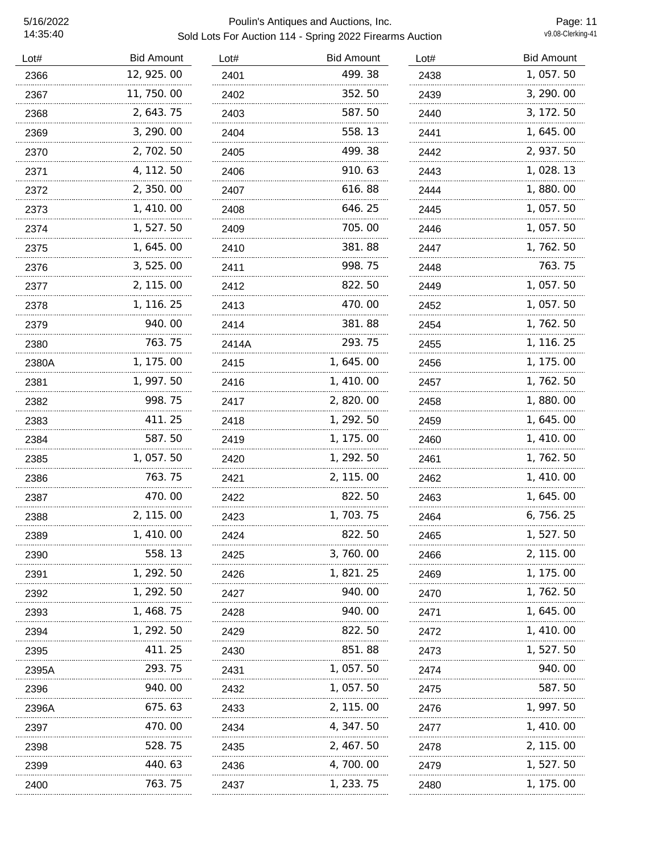| Lot#  | <b>Bid Amount</b> | Lot#  | <b>Bid Amount</b> | Lot# | <b>Bid Amount</b> |
|-------|-------------------|-------|-------------------|------|-------------------|
| 2366  | 12, 925.00        | 2401  | 499.38            | 2438 | 1,057.50          |
| 2367  | 11, 750.00        | 2402  | 352.50            | 2439 | 3, 290.00         |
| 2368  | 2, 643. 75        | 2403  | 587.50            | 2440 | 3, 172. 50        |
| 2369  | 3, 290.00         | 2404  | 558.13            | 2441 | 1, 645. 00        |
| 2370  | 2,702.50          | 2405  | 499.38            | 2442 | 2, 937.50         |
| 2371  | 4, 112. 50        | 2406  | 910.63            | 2443 | 1, 028. 13        |
| 2372  | 2, 350.00         | 2407  | 616.88            | 2444 | 1,880.00          |
| 2373  | 1,410.00          | 2408  | 646.25            | 2445 | 1,057.50          |
| 2374  | 1,527.50          | 2409  | 705.00            | 2446 | 1,057.50          |
| 2375  | 1,645.00          | 2410  | 381.88            | 2447 | 1,762.50          |
| 2376  | 3,525.00          | 2411  | 998.75            | 2448 | 763.75            |
| 2377  | 2, 115.00         | 2412  | 822.50            | 2449 | 1, 057.50         |
| 2378  | 1, 116. 25        | 2413  | 470.00            | 2452 | 1,057.50          |
| 2379  | 940. 00<br>.      | 2414  | 381.88            | 2454 | 1, 762. 50        |
| 2380  | 763.75            | 2414A | 293.75            | 2455 | 1, 116. 25        |
| 2380A | 1, 175.00         | 2415  | 1, 645. 00        | 2456 | 1, 175.00         |
| 2381  | 1, 997.50         | 2416  | 1, 410.00         | 2457 | 1, 762. 50        |
| 2382  | 998.75            | 2417  | 2,820.00          | 2458 | 1,880.00          |
| 2383  | 411.25            | 2418  | 1, 292.50         | 2459 | 1, 645.00         |
| 2384  | 587.50            | 2419  | 1, 175.00         | 2460 | 1, 410.00         |
| 2385  | 1, 057.50         | 2420  | 1, 292. 50        | 2461 | 1, 762. 50        |
| 2386  | 763.75            | 2421  | 2, 115.00         | 2462 | 1, 410.00         |
| 2387  | 470.00            | 2422  | 822.50            | 2463 | 1, 645. 00        |
| 2388  | 2, 115.00         | 2423  | 1,703.75          | 2464 | 6, 756. 25        |
| 2389  | 1, 410.00         | 2424  | 822.50            | 2465 | 1,527.50          |
| 2390  | 558.13            | 2425  | 3, 760.00         | 2466 | 2, 115, 00        |
| 2391  | 1, 292. 50        | 2426  | 1, 821. 25        | 2469 | 1, 175. 00        |
| 2392  | 1, 292. 50        | 2427  | 940.00            | 2470 | 1, 762. 50        |
| 2393  | 1, 468. 75        | 2428  | 940.00            | 2471 | 1, 645. 00        |
| 2394  | 1, 292. 50        | 2429  | 822.50            | 2472 | 1, 410.00         |
| 2395  | 411. 25           | 2430  | 851.88            | 2473 | 1, 527. 50        |
| 2395A | 293.75            | 2431  | 1, 057.50         | 2474 | 940.00            |
| 2396  | 940.00            | 2432  | 1, 057. 50        | 2475 | 587.50            |
| 2396A | 675.63            | 2433  | 2, 115.00         | 2476 | 1, 997. 50        |
| 2397  | 470.00            | 2434  | 4, 347. 50        | 2477 | 1, 410.00         |
| 2398  | 528.75            | 2435  | 2, 467. 50        | 2478 | 2, 115.00         |
| 2399  | 440.63            | 2436  | 4, 700. 00        | 2479 | 1, 527. 50        |
| 2400  | 763.75            | 2437  | 1, 233. 75        | 2480 | 1, 175. 00        |
|       |                   |       |                   |      |                   |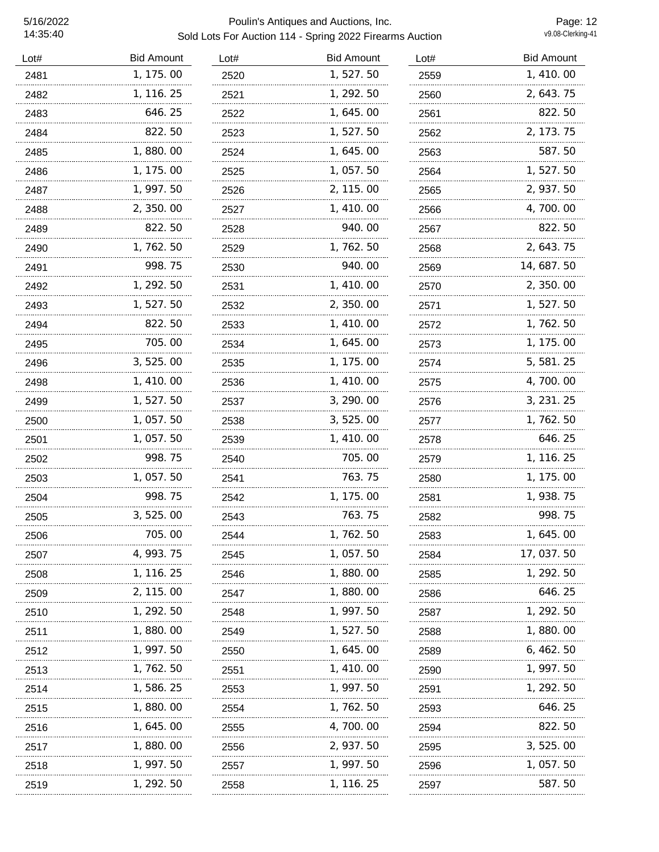| Lot# | <b>Bid Amount</b> | Lot# | <b>Bid Amount</b> | Lot# | <b>Bid Amount</b> |
|------|-------------------|------|-------------------|------|-------------------|
| 2481 | 1, 175.00         | 2520 | 1,527.50          | 2559 | 1,410.00          |
| 2482 | 1, 116. 25        | 2521 | 1, 292. 50        | 2560 | 2, 643. 75        |
| 2483 | 646.25            | 2522 | 1, 645.00         | 2561 | 822.50            |
| 2484 | 822.50            | 2523 | 1, 527. 50        | 2562 | 2, 173. 75        |
| 2485 | 1,880.00          | 2524 | 1, 645.00         | 2563 | 587.50            |
| 2486 | 1, 175.00         | 2525 | 1, 057.50         | 2564 | 1,527.50          |
| 2487 | 1, 997.50         | 2526 | 2, 115.00         | 2565 | 2, 937.50         |
| 2488 | 2,350.00          | 2527 | 1, 410.00         | 2566 | 4, 700. 00        |
| 2489 | 822.50            | 2528 | 940.00            | 2567 | 822.50            |
| 2490 | 1,762.50          | 2529 | 1,762.50          | 2568 | 2, 643. 75        |
| 2491 | 998. 75           | 2530 | 940.00            | 2569 | 14, 687. 50       |
| 2492 | 1, 292. 50        | 2531 | 1,410.00          | 2570 | 2, 350.00         |
| 2493 | 1, 527. 50        | 2532 | 2, 350.00         | 2571 | 1, 527. 50        |
| 2494 | 822.50            | 2533 | 1, 410.00         | 2572 | 1, 762. 50        |
| 2495 | 705.00            | 2534 | 1,645.00          | 2573 | 1, 175.00         |
| 2496 | 3, 525.00         | 2535 | 1, 175.00         | 2574 | 5, 581. 25        |
| 2498 | 1, 410.00         | 2536 | 1, 410.00         | 2575 | 4, 700. 00        |
| 2499 | 1, 527. 50        | 2537 | 3, 290.00         | 2576 | 3, 231. 25        |
| 2500 | 1, 057. 50        | 2538 | 3, 525.00         | 2577 | 1, 762. 50        |
| 2501 | 1,057.50          | 2539 | 1, 410.00         | 2578 | 646.25            |
| 2502 | 998.75            | 2540 | 705.00            | 2579 | 1, 116. 25        |
| 2503 | 1, 057.50         | 2541 | 763.75            | 2580 | 1, 175.00         |
| 2504 | 998.75            | 2542 | 1, 175.00         | 2581 | 1, 938. 75        |
| 2505 | 3,525.00          | 2543 | 763.75            | 2582 | 998.75            |
| 2506 | 705.00            | 2544 | 1,762.50          | 2583 | 1, 645. 00        |
| 2507 | 4, 993. 75        | 2545 | 1, 057. 50        | 2584 | 17, 037. 50       |
| 2508 | 1, 116. 25        | 2546 | 1,880.00          | 2585 | 1, 292. 50        |
| 2509 | 2, 115.00         | 2547 | 1,880.00          | 2586 | 646.25            |
| 2510 | 1, 292. 50        | 2548 | 1, 997.50         | 2587 | 1, 292. 50        |
| 2511 | 1,880.00          | 2549 | 1, 527. 50        | 2588 | 1, 880. 00        |
| 2512 | 1, 997. 50        | 2550 | 1, 645. 00        | 2589 | 6,462.50          |
| 2513 | 1, 762. 50        | 2551 | 1, 410. 00        | 2590 | 1, 997. 50        |
| 2514 | 1, 586. 25        | 2553 | 1, 997. 50        | 2591 | 1, 292. 50        |
| 2515 | 1,880.00          | 2554 | 1, 762. 50        | 2593 | 646. 25           |
| 2516 | 1, 645. 00        | 2555 | 4, 700. 00        | 2594 | 822.50            |
| 2517 | 1, 880. 00        | 2556 | 2, 937. 50        | 2595 | 3, 525.00         |
| 2518 | 1, 997. 50        | 2557 | 1, 997. 50        | 2596 | 1, 057. 50        |
| 2519 | 1, 292. 50        | 2558 | 1, 116. 25        | 2597 | 587.50            |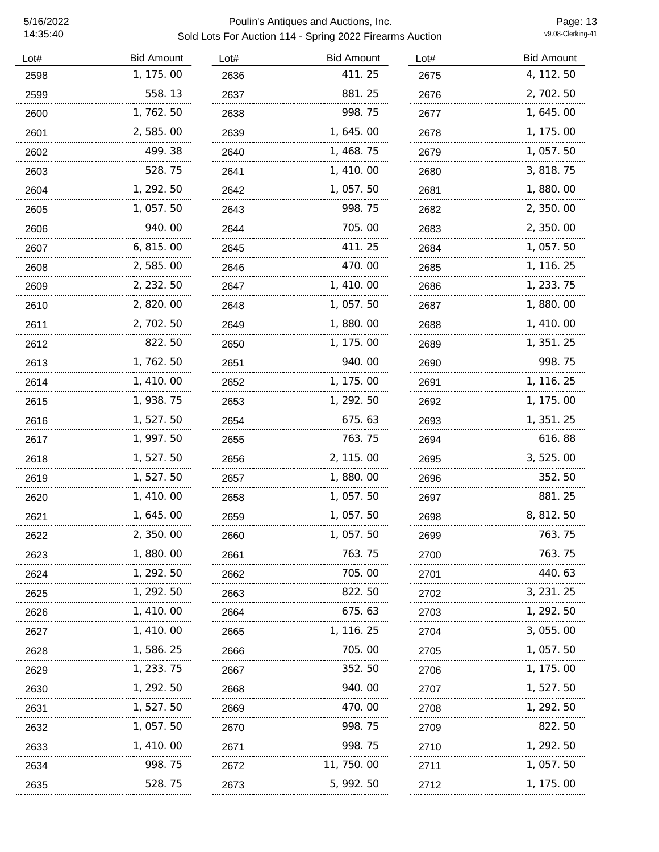### 5/16/2022 Poulin's Antiques and Auctions, Inc. Sold Lots For Auction 114 - Spring 2022 Firearms Auction

Page: 13<br>v9.08-Clerking-41

| Lot# | <b>Bid Amount</b> | Lot# | <b>Bid Amount</b> | Lot# | <b>Bid Amount</b> |
|------|-------------------|------|-------------------|------|-------------------|
| 2598 | 1, 175.00         | 2636 | 411.25            | 2675 | 4, 112. 50        |
| 2599 | 558.13            | 2637 | 881.25            | 2676 | 2, 702. 50        |
| 2600 | 1,762.50          | 2638 | 998.75            | 2677 | 1, 645. 00        |
| 2601 | 2,585.00          | 2639 | 1, 645.00         | 2678 | 1, 175.00         |
| 2602 | 499.38            | 2640 | 1, 468. 75        | 2679 | 1, 057.50         |
| 2603 | 528.75            | 2641 | 1, 410.00         | 2680 | 3, 818. 75        |
| 2604 | 1, 292. 50        | 2642 | 1,057.50          | 2681 | 1,880.00          |
| 2605 | 1, 057.50         | 2643 | 998.75            | 2682 | 2, 350.00         |
| 2606 | 940.00            | 2644 | 705.00            | 2683 | 2, 350.00         |
| 2607 | 6, 815.00         | 2645 | 411.25            | 2684 | 1, 057. 50        |
| 2608 | 2,585.00          | 2646 | 470.00            | 2685 | 1, 116. 25        |
| 2609 | 2, 232. 50        | 2647 | 1, 410.00         | 2686 | 1, 233. 75        |
| 2610 | 2,820.00          | 2648 | 1,057.50          | 2687 | 1,880.00          |
| 2611 | 2, 702. 50        | 2649 | 1,880.00          | 2688 | 1, 410.00         |
| 2612 | 822.50            | 2650 | 1, 175.00         | 2689 | 1, 351. 25        |
| 2613 | 1, 762. 50        | 2651 | 940.00            | 2690 | 998.75            |
| 2614 | 1, 410.00         | 2652 | 1, 175.00         | 2691 | 1, 116. 25        |
| 2615 | 1, 938. 75        | 2653 | 1, 292.50         | 2692 | 1, 175.00         |
| 2616 | 1, 527. 50        | 2654 | 675.63            | 2693 | 1, 351. 25        |
| 2617 | 1, 997. 50        | 2655 | 763.75            | 2694 | 616.88            |
| 2618 | 1,527.50          | 2656 | 2, 115.00         | 2695 | 3, 525.00         |
| 2619 | 1, 527. 50        | 2657 | 1,880.00          | 2696 | 352.50            |
| 2620 | 1, 410.00         | 2658 | 1, 057.50         | 2697 | 881.25            |
| 2621 | 1, 645.00         | 2659 | 1, 057.50         | 2698 | 8, 812. 50        |
| 2622 | 2,350.00          | 2660 | 1, 057. 50        | 2699 | 763.75            |
| 2623 | 1,880.00          | 2661 | 763.75            | 2700 | 763.75            |
| 2624 | 1, 292. 50        | 2662 | 705.00            | 2701 | 440. 63           |
| 2625 | 1, 292. 50        | 2663 | 822.50            | 2702 | 3, 231. 25        |
| 2626 | 1, 410. 00        | 2664 | 675.63            | 2703 | 1, 292. 50        |
| 2627 | 1, 410. 00        | 2665 | 1, 116. 25        | 2704 | 3, 055. 00        |
| 2628 | 1, 586. 25        | 2666 | 705.00            | 2705 | 1, 057.50         |
| 2629 | 1, 233. 75        | 2667 | 352.50            | 2706 | 1, 175.00         |
| 2630 | 1, 292. 50        | 2668 | 940.00            | 2707 | 1, 527. 50        |
| 2631 | 1, 527. 50        | 2669 | 470.00            | 2708 | 1, 292. 50        |
| 2632 | 1,057.50          | 2670 | 998.75            | 2709 | 822.50            |
| 2633 | 1, 410. 00        | 2671 | 998.75            | 2710 | 1, 292. 50        |
| 2634 | 998.75            | 2672 | 11, 750. 00       | 2711 | 1, 057. 50        |
| 2635 | 528.75            | 2673 | 5, 992. 50        | 2712 | 1, 175.00         |
|      |                   |      |                   |      |                   |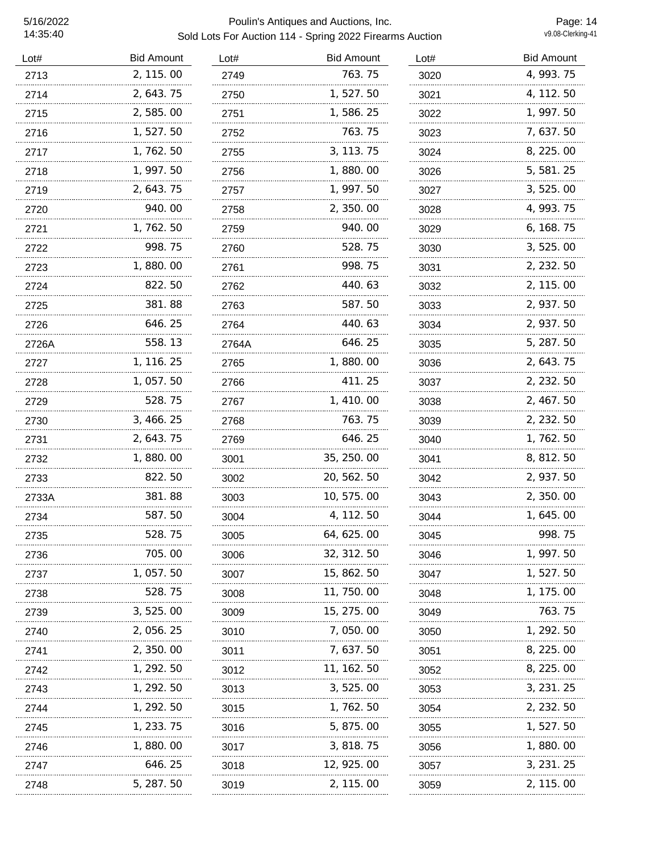### 5/16/2022 Poulin's Antiques and Auctions, Inc. Sold Lots For Auction 114 - Spring 2022 Firearms Auction

Page: 14<br>v9.08-Clerking-41

| Lot#  | <b>Bid Amount</b> | Lot#  | <b>Bid Amount</b> | Lot# | <b>Bid Amount</b> |
|-------|-------------------|-------|-------------------|------|-------------------|
| 2713  | 2, 115.00         | 2749  | 763.75            | 3020 | 4, 993. 75        |
| 2714  | 2, 643. 75        | 2750  | 1,527.50          | 3021 | 4, 112. 50        |
| 2715  | 2,585.00          | 2751  | 1, 586. 25        | 3022 | 1, 997.50         |
| 2716  | 1,527.50          | 2752  | 763.75            | 3023 | 7, 637.50         |
| 2717  | 1,762.50          | 2755  | 3, 113. 75        | 3024 | 8, 225.00         |
| 2718  | 1, 997.50         | 2756  | 1,880.00          | 3026 | 5, 581.25         |
| 2719  | 2, 643. 75        | 2757  | 1, 997.50         | 3027 | 3, 525.00         |
| 2720  | 940.00            | 2758  | 2,350.00          | 3028 | 4, 993. 75        |
| 2721  | 1, 762. 50        | 2759  | 940.00            | 3029 | 6, 168.75         |
| 2722  | 998.75            | 2760  | 528.75            | 3030 | 3, 525.00         |
| 2723  | 1,880.00          | 2761  | 998.75            | 3031 | 2, 232.50         |
| 2724  | 822.50            | 2762  | 440.63            | 3032 | 2, 115.00         |
| 2725  | 381.88            | 2763  | 587.50            | 3033 | 2, 937.50         |
| 2726  | 646.25            | 2764  | 440.63            | 3034 | 2, 937.50         |
| 2726A | 558.13            | 2764A | 646.25            | 3035 | 5, 287.50         |
| 2727  | 1, 116. 25        | 2765  | 1,880.00          | 3036 | 2, 643. 75        |
| 2728  | 1,057.50          | 2766  | 411.25            | 3037 | 2, 232.50         |
| 2729  | 528.75            | 2767  | 1, 410.00         | 3038 | 2, 467. 50        |
| 2730  | 3, 466. 25        | 2768  | 763.75            | 3039 | 2, 232.50         |
| 2731  | 2, 643. 75        | 2769  | 646.25            | 3040 | 1, 762. 50        |
| 2732  | 1,880.00          | 3001  | 35, 250.00        | 3041 | 8, 812. 50        |
| 2733  | 822.50            | 3002  | 20, 562. 50       | 3042 | 2, 937.50         |
| 2733A | 381.88            | 3003  | 10, 575.00        | 3043 | 2, 350.00         |
| 2734  | 587.50            | 3004  | 4, 112. 50        | 3044 | 1, 645. 00        |
| 2735  | 528. 75           | 3005  | 64, 625. 00       | 3045 | 998.75            |
| 2736  | 705.00            | 3006  | 32, 312. 50       | 3046 | 1, 997. 50        |
| 2737  | 1, 057. 50        | 3007  | 15, 862. 50       | 3047 | 1, 527. 50        |
| 2738  | 528.75            | 3008  | 11, 750. 00       | 3048 | 1, 175. 00        |
| 2739  | 3, 525.00         | 3009  | 15, 275. 00       | 3049 | 763.75            |
| 2740  | 2,056.25          | 3010  | 7,050.00          | 3050 | 1, 292. 50        |
| 2741  | 2, 350.00         | 3011  | 7,637.50          | 3051 | 8, 225. 00        |
| 2742  | 1, 292. 50        | 3012  | 11, 162. 50       | 3052 | 8, 225.00         |
| 2743  | 1, 292. 50        | 3013  | 3, 525.00         | 3053 | 3, 231. 25        |
| 2744  | 1, 292. 50        | 3015  | 1, 762. 50        | 3054 | 2, 232. 50        |
| 2745  | 1, 233. 75        | 3016  | 5, 875.00         | 3055 | 1, 527. 50        |
| 2746  | 1, 880. 00        | 3017  | 3, 818. 75        | 3056 | 1, 880. 00        |
| 2747  | 646. 25           | 3018  | 12, 925. 00       | 3057 | 3, 231. 25        |
| 2748  | 5, 287. 50        | 3019  | 2, 115. 00        | 3059 | 2, 115.00         |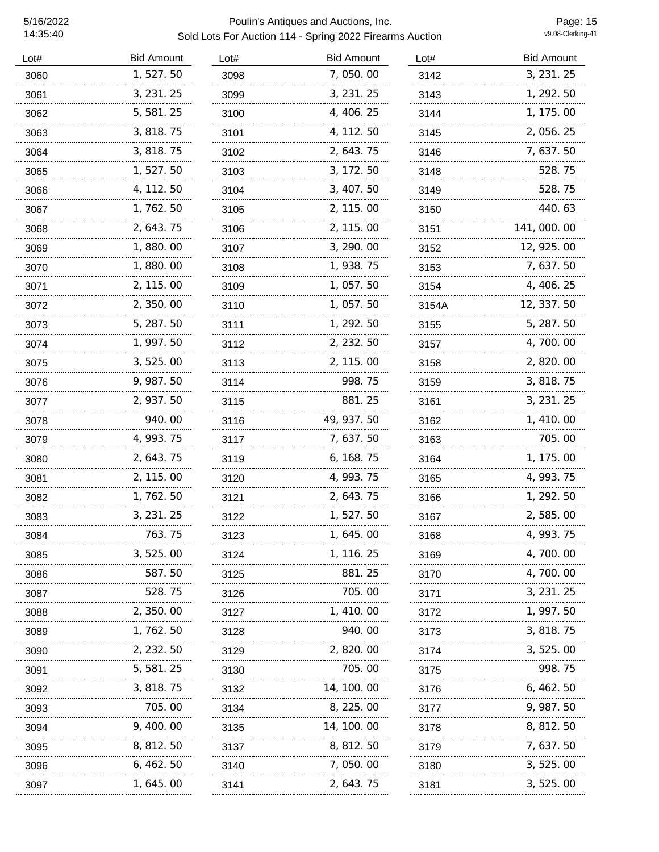| Lot# | <b>Bid Amount</b> | Lot# | <b>Bid Amount</b> | Lot#  | <b>Bid Amount</b> |
|------|-------------------|------|-------------------|-------|-------------------|
| 3060 | 1,527.50          | 3098 | 7,050.00          | 3142  | 3, 231. 25        |
| 3061 | 3, 231. 25        | 3099 | 3, 231. 25        | 3143  | 1, 292.50         |
| 3062 | 5, 581. 25        | 3100 | 4, 406. 25        | 3144  | 1, 175.00         |
| 3063 | 3, 818. 75        | 3101 | 4, 112. 50        | 3145  | 2, 056. 25        |
| 3064 | 3, 818. 75        | 3102 | 2, 643. 75        | 3146  | 7, 637. 50        |
| 3065 | 1, 527. 50        | 3103 | 3, 172. 50        | 3148  | 528.75            |
| 3066 | 4, 112. 50        | 3104 | 3, 407.50         | 3149  | 528.75            |
| 3067 | 1, 762. 50        | 3105 | 2, 115.00         | 3150  | 440.63            |
| 3068 | 2, 643. 75        | 3106 | 2, 115.00         | 3151  | 141, 000. 00      |
| 3069 | 1,880.00          | 3107 | 3, 290.00         | 3152  | 12, 925.00        |
| 3070 | 1,880.00          | 3108 | 1, 938. 75        | 3153  | 7, 637. 50        |
| 3071 | 2, 115.00         | 3109 | 1,057.50          | 3154  | 4, 406. 25        |
| 3072 | 2,350.00          | 3110 | 1,057.50          | 3154A | 12, 337.50        |
| 3073 | 5, 287.50         | 3111 | 1, 292.50         | 3155  | 5, 287.50         |
| 3074 | 1, 997.50         | 3112 | 2, 232.50         | 3157  | 4, 700. 00        |
| 3075 | 3, 525.00         | 3113 | 2, 115.00         | 3158  | 2, 820.00         |
| 3076 | 9, 987. 50        | 3114 | 998.75            | 3159  | 3, 818. 75        |
| 3077 | 2, 937.50         | 3115 | 881.25            | 3161  | 3, 231. 25        |
| 3078 | 940.00            | 3116 | 49, 937.50        | 3162  | 1, 410.00         |
| 3079 | 4, 993. 75        | 3117 | 7, 637. 50        | 3163  | 705.00            |
| 3080 | 2, 643. 75        | 3119 | 6, 168. 75        | 3164  | 1, 175.00         |
| 3081 | 2, 115.00         | 3120 | 4, 993. 75        | 3165  | 4, 993. 75        |
| 3082 | 1, 762. 50        | 3121 | 2, 643. 75        | 3166  | 1, 292. 50        |
| 3083 | 3, 231. 25        | 3122 | 1, 527.50         | 3167  | 2,585.00          |
| 3084 | 763.75            | 3123 | 1, 645. 00        | 3168  | 4, 993. 75        |
| 3085 | 3, 525, 00        | 3124 | 1, 116. 25        | 3169  | 4, 700. 00        |
| 3086 | 587.50            | 3125 | 881.25            | 3170  | 4, 700. 00        |
| 3087 | 528.75            | 3126 | 705.00            | 3171  | 3, 231. 25        |
| 3088 | 2, 350. 00        | 3127 | 1, 410. 00        | 3172  | 1, 997. 50        |
| 3089 | 1, 762. 50        | 3128 | 940.00            | 3173  | 3, 818. 75        |
| 3090 | 2, 232. 50        | 3129 | 2, 820.00         | 3174  | 3, 525.00         |
| 3091 | 5, 581. 25        | 3130 | 705.00            | 3175  | 998.75            |
| 3092 | 3, 818. 75        | 3132 | 14, 100. 00       | 3176  | 6,462.50          |
| 3093 | 705.00            | 3134 | 8, 225.00         | 3177  | 9, 987. 50        |
| 3094 | 9, 400. 00        | 3135 | 14, 100. 00       | 3178  | 8, 812. 50        |
| 3095 | 8, 812. 50        | 3137 | 8, 812. 50        | 3179  | 7, 637. 50        |
| 3096 | 6, 462. 50        | 3140 | 7, 050. 00        | 3180  | 3, 525.00         |
| 3097 | 1, 645. 00        | 3141 | 2, 643. 75        | 3181  | 3, 525.00         |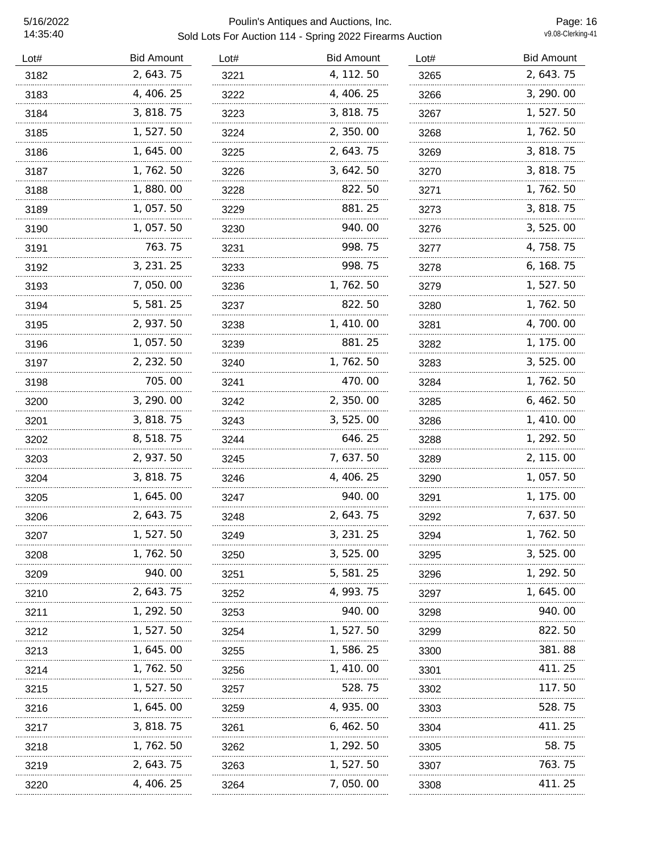| 2, 643. 75<br>3182<br>3221<br>4, 406. 25<br>3183<br>3222<br>3, 818. 75<br>3184<br>3223 | 4, 112.50<br>4, 406. 25<br>3, 818.75<br>2,350.00 | 3265<br>3266<br>3267 | 2, 643. 75<br>3, 290.00 |
|----------------------------------------------------------------------------------------|--------------------------------------------------|----------------------|-------------------------|
|                                                                                        |                                                  |                      |                         |
|                                                                                        |                                                  |                      |                         |
|                                                                                        |                                                  |                      | 1, 527. 50              |
| 1, 527. 50<br>3185<br>3224                                                             |                                                  | 3268                 | 1, 762. 50              |
| 1, 645. 00<br>3186<br>3225                                                             | 2, 643. 75                                       | 3269                 | 3, 818. 75              |
| 1,762.50<br>3187<br>3226                                                               | 3, 642. 50                                       | 3270                 | 3, 818. 75              |
| 1,880.00<br>3188<br>3228                                                               | 822.50                                           | 3271                 | 1, 762. 50              |
| 1, 057.50<br>3229<br>3189                                                              | 881.25                                           | 3273                 | 3, 818. 75              |
| 1,057.50<br>3190<br>3230                                                               | 940.00                                           | 3276                 | 3, 525.00               |
| 763.75<br>3191<br>3231                                                                 | 998.75                                           | 3277                 | 4, 758. 75              |
| 3, 231. 25<br>3192<br>3233                                                             | 998.75                                           | 3278                 | 6, 168. 75              |
| 7,050.00<br>3193<br>3236                                                               | 1,762.50                                         | 3279                 | 1, 527. 50              |
| 5,581.25<br>3194<br>3237                                                               | 822.50                                           | 3280                 | 1, 762. 50              |
| 2, 937.50<br>3195<br>3238                                                              | 1, 410.00                                        | 3281                 | 4, 700, 00              |
| 1, 057. 50<br>3196<br>3239                                                             | 881.25                                           | 3282                 | 1, 175. 00              |
| 2, 232. 50<br>3197<br>3240                                                             | 1, 762. 50                                       | 3283                 | 3, 525.00               |
| 705.00<br>3198<br>3241                                                                 | 470.00                                           | 3284                 | 1, 762. 50              |
| 3, 290.00<br>3200<br>3242                                                              | 2, 350.00                                        | 3285                 | 6, 462. 50              |
| 3, 818.75<br>3201<br>3243                                                              | 3,525.00                                         | 3286                 | 1, 410.00               |
| 8, 518. 75<br>3202<br>3244                                                             | 646.25                                           | 3288                 | 1, 292. 50              |
| 2, 937.50<br>3203<br>3245                                                              | 7, 637.50                                        | 3289                 | 2, 115.00               |
| 3, 818.75<br>3204<br>3246                                                              | 4, 406. 25                                       | 3290                 | 1,057.50                |
| 1, 645. 00<br>3205<br>3247                                                             | 940.00                                           | 3291                 | 1, 175. 00              |
| 2, 643. 75<br>3206<br>3248                                                             | 2, 643. 75                                       | 3292                 | 7, 637. 50              |
| 1,527.50<br>3207<br>3249                                                               | 3, 231. 25                                       | 3294                 | 1,762.50                |
| 1, 762. 50<br>3208<br>3250                                                             | 3, 525.00                                        | 3295                 | 3, 525.00               |
| 940. 00<br>3209<br>3251                                                                | 5, 581. 25                                       | 3296                 | 1, 292. 50              |
| 2, 643. 75<br>3210<br>3252                                                             | 4, 993. 75                                       | 3297                 | 1, 645. 00              |
| 1, 292. 50<br>3253<br>3211                                                             | 940.00                                           | 3298                 | 940.00                  |
| 1, 527. 50<br>3212<br>3254                                                             | 1, 527. 50                                       | 3299                 | 822.50                  |
| 1, 645. 00<br>3213<br>3255                                                             | 1, 586. 25                                       | 3300                 | 381.88                  |
| 1, 762. 50<br>3214<br>3256                                                             | 1, 410. 00                                       | 3301                 | 411.25                  |
| 1, 527. 50<br>3215<br>3257                                                             | 528.75                                           | 3302                 | 117.50                  |
| 1, 645. 00<br>3259<br>3216                                                             | 4, 935. 00                                       | 3303                 | 528.75                  |
| 3, 818. 75<br>3217<br>3261                                                             | 6, 462. 50                                       | 3304                 | 411.25                  |
| 1, 762. 50<br>3218<br>3262                                                             | 1, 292. 50                                       | 3305                 | 58.75                   |
| 2, 643. 75<br>3219<br>3263                                                             | 1, 527. 50                                       | 3307                 | 763.75                  |
| 4, 406. 25<br>3220<br>3264                                                             | 7, 050. 00                                       | 3308                 | 411.25                  |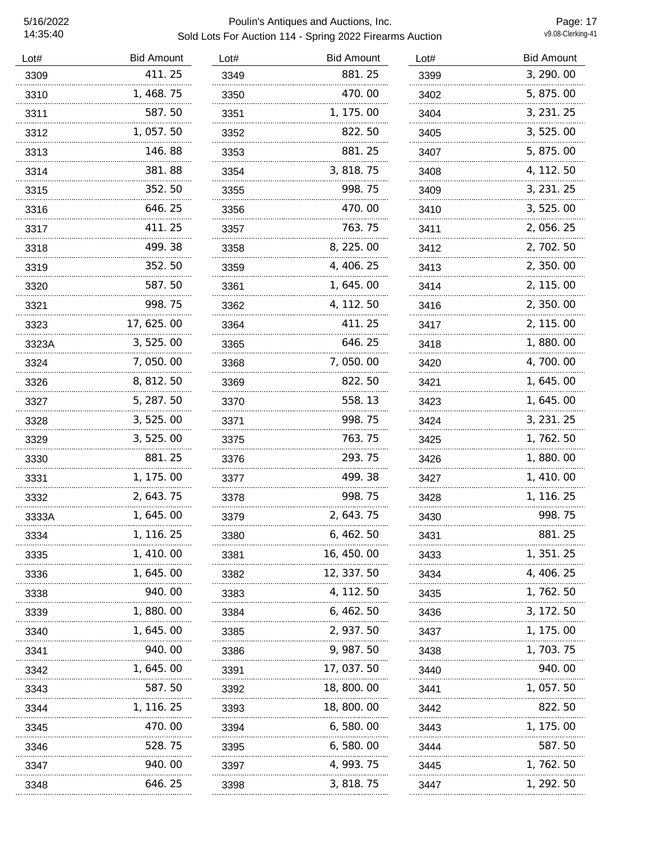| Lot#  | <b>Bid Amount</b> | Lot# | <b>Bid Amount</b> | Lot# | <b>Bid Amount</b> |
|-------|-------------------|------|-------------------|------|-------------------|
| 3309  | 411.25            | 3349 | 881.25            | 3399 | 3, 290.00         |
| 3310  | 1, 468. 75        | 3350 | 470.00            | 3402 | 5, 875.00         |
| 3311  | 587.50            | 3351 | 1, 175, 00        | 3404 | 3, 231. 25        |
| 3312  | 1,057.50          | 3352 | 822.50            | 3405 | 3, 525.00         |
| 3313  | 146.88            | 3353 | 881.25            | 3407 | 5, 875.00         |
| 3314  | 381.88            | 3354 | 3, 818. 75        | 3408 | 4, 112. 50        |
| 3315  | 352.50            | 3355 | 998.75            | 3409 | 3, 231. 25        |
| 3316  | 646.25            | 3356 | 470.00            | 3410 | 3, 525.00         |
| 3317  | 411.25            | 3357 | 763.75            | 3411 | 2, 056. 25        |
| 3318  | 499.38            | 3358 | 8, 225.00         | 3412 | 2, 702. 50        |
| 3319  | 352.50            | 3359 | 4, 406. 25        | 3413 | 2, 350.00         |
| 3320  | 587.50            | 3361 | 1, 645. 00        | 3414 | 2, 115, 00        |
| 3321  | 998.75            | 3362 | 4, 112. 50        | 3416 | 2, 350.00         |
| 3323  | 17, 625. 00       | 3364 | 411.25            | 3417 | 2, 115.00         |
| 3323A | 3, 525.00         | 3365 | 646.25            | 3418 | 1,880.00          |
| 3324  | 7,050.00          | 3368 | 7,050.00          | 3420 | 4, 700. 00        |
| 3326  | 8, 812. 50        | 3369 | 822.50            | 3421 | 1, 645. 00        |
| 3327  | 5, 287. 50        | 3370 | 558.13            | 3423 | 1, 645. 00        |
| 3328  | 3, 525.00         | 3371 | 998.75            | 3424 | 3, 231. 25        |
| 3329  | 3, 525.00         | 3375 | 763.75            | 3425 | 1, 762. 50        |
| 3330  | 881.25            | 3376 | 293.75            | 3426 | 1,880.00          |
| 3331  | 1, 175.00         | 3377 | 499.38            | 3427 | 1, 410.00         |
| 3332  | 2, 643. 75        | 3378 | 998.75            | 3428 | 1, 116. 25        |
| 3333A | 1, 645.00         | 3379 | 2, 643. 75        | 3430 | 998.75            |
| 3334  | 1, 116. 25        | 3380 | 6, 462. 50        | 3431 | 881.25            |
| 3335  | 1, 410.00         | 3381 | 16, 450, 00       | 3433 | 1, 351. 25        |
| 3336  | 1, 645. 00        | 3382 | 12, 337. 50       | 3434 | 4, 406. 25        |
| 3338  | 940.00            | 3383 | 4, 112. 50        | 3435 | 1, 762. 50        |
| 3339  | 1,880.00          | 3384 | 6, 462. 50        | 3436 | 3, 172. 50        |
| 3340  | 1, 645. 00        | 3385 | 2, 937.50         | 3437 | 1, 175. 00        |
| 3341  | 940.00            | 3386 | 9, 987. 50        | 3438 | 1, 703. 75        |
| 3342  | 1, 645. 00        | 3391 | 17, 037.50        | 3440 | 940.00            |
| 3343  | 587.50            | 3392 | 18, 800. 00       | 3441 | 1, 057. 50        |
| 3344  | 1, 116. 25        | 3393 | 18, 800. 00       | 3442 | 822.50            |
| 3345  | 470.00            | 3394 | 6, 580. 00        | 3443 | 1, 175. 00        |
| 3346  | 528.75            | 3395 | 6, 580. 00        | 3444 | 587.50            |
| 3347  | 940.00            | 3397 | 4, 993. 75        | 3445 | 1, 762. 50        |
| 3348  | 646.25            | 3398 | 3, 818. 75        | 3447 | 1, 292. 50        |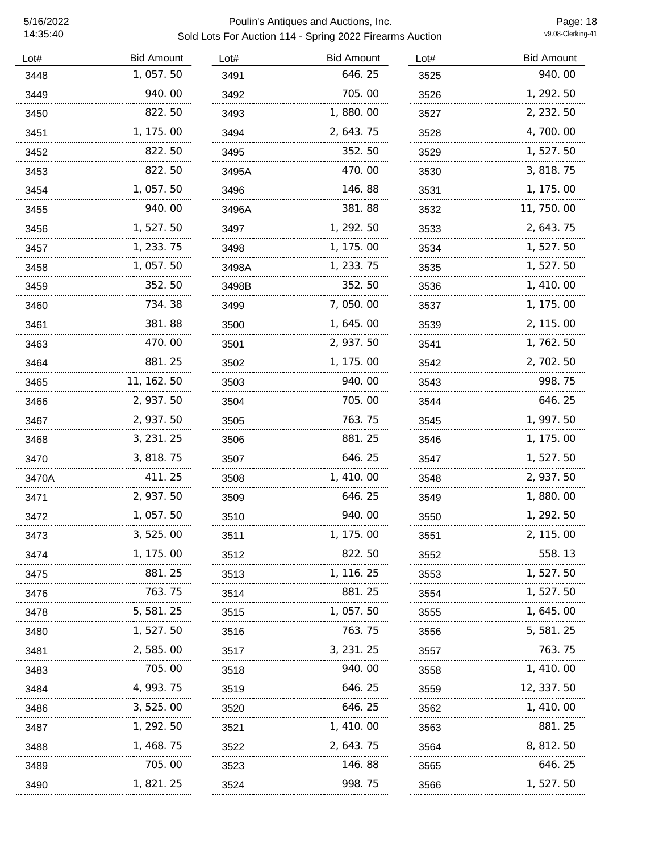| Lot#  | <b>Bid Amount</b> | Lot#  | <b>Bid Amount</b> | Lot# | <b>Bid Amount</b> |
|-------|-------------------|-------|-------------------|------|-------------------|
| 3448  | 1,057.50          | 3491  | 646.25            | 3525 | 940.00            |
| 3449  | 940.00            | 3492  | 705.00            | 3526 | 1, 292. 50        |
| 3450  | 822.50            | 3493  | 1,880.00          | 3527 | 2, 232.50         |
| 3451  | 1, 175.00         | 3494  | 2, 643. 75        | 3528 | 4, 700. 00        |
| 3452  | 822.50            | 3495  | 352.50            | 3529 | 1, 527.50         |
| 3453  | 822.50            | 3495A | 470.00            | 3530 | 3, 818.75         |
| 3454  | 1,057.50          | 3496  | 146.88            | 3531 | 1, 175.00         |
| 3455  | 940.00            | 3496A | 381.88            | 3532 | 11, 750.00        |
| 3456  | 1,527.50          | 3497  | 1, 292.50         | 3533 | 2, 643. 75        |
| 3457  | 1, 233. 75        | 3498  | 1, 175.00         | 3534 | 1,527.50          |
| 3458  | 1, 057. 50        | 3498A | 1, 233. 75        | 3535 | 1,527.50          |
| 3459  | 352.50            | 3498B | 352.50            | 3536 | 1, 410.00         |
| 3460  | 734.38            | 3499  | 7,050.00          | 3537 | 1, 175.00         |
| 3461  | 381.88            | 3500  | 1, 645. 00        | 3539 | 2, 115.00         |
| 3463  | 470.00            | 3501  | 2, 937.50         | 3541 | 1, 762. 50        |
| 3464  | 881.25            | 3502  | 1, 175.00         | 3542 | 2, 702. 50        |
| 3465  | 11, 162. 50       | 3503  | 940.00            | 3543 | 998.75            |
| 3466  | 2, 937.50         | 3504  | 705.00            | 3544 | 646.25            |
| 3467  | 2, 937.50         | 3505  | 763.75            | 3545 | 1, 997. 50        |
| 3468  | 3, 231. 25        | 3506  | 881.25            | 3546 | 1, 175.00         |
| 3470  | 3, 818. 75        | 3507  | 646.25            | 3547 | 1, 527. 50        |
| 3470A | 411.25            | 3508  | 1,410.00          | 3548 | 2, 937.50         |
| 3471  | 2, 937.50         | 3509  | 646.25            | 3549 | 1,880.00          |
| 3472  | 1,057.50          | 3510  | 940.00            | 3550 | 1, 292.50         |
| 3473  | 3,525.00          | 3511  | 1, 175.00         | 3551 | 2, 115.00         |
| 3474  | 1, 175. 00        | 3512  | 822.50            | 3552 | 558.13            |
| 3475  | 881.25            | 3513  | 1, 116. 25        | 3553 | 1, 527. 50        |
| 3476  | 763.75            | 3514  | 881.25            | 3554 | 1, 527. 50        |
| 3478  | 5, 581. 25        | 3515  | 1,057.50          | 3555 | 1, 645. 00        |
| 3480  | 1, 527. 50        | 3516  | 763.75            | 3556 | 5, 581. 25        |
| 3481  | 2,585.00          | 3517  | 3, 231. 25        | 3557 | 763.75            |
| 3483  | 705.00            | 3518  | 940.00            | 3558 | 1, 410. 00        |
| 3484  | 4, 993. 75        | 3519  | 646. 25           | 3559 | 12, 337.50        |
| 3486  | 3, 525.00         | 3520  | 646.25            | 3562 | 1, 410.00         |
| 3487  | 1, 292. 50        | 3521  | 1, 410. 00        | 3563 | 881.25            |
| 3488  | 1, 468. 75        | 3522  | 2, 643. 75        | 3564 | 8, 812. 50        |
| 3489  | 705.00            | 3523  | 146.88            | 3565 | 646.25            |
| 3490  | 1, 821. 25        | 3524  | 998.75            | 3566 | 1, 527. 50        |
|       |                   |       |                   |      |                   |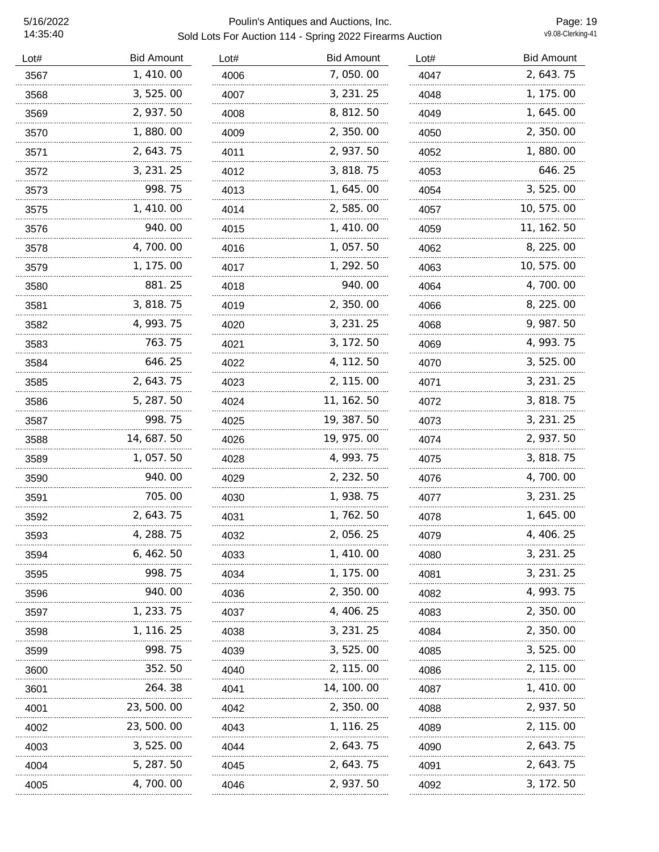| Lot# | <b>Bid Amount</b> | Lot# | <b>Bid Amount</b> | Lot# | <b>Bid Amount</b> |
|------|-------------------|------|-------------------|------|-------------------|
| 3567 | 1,410.00          | 4006 | 7,050.00          | 4047 | 2, 643. 75        |
| 3568 | 3, 525.00         | 4007 | 3, 231. 25        | 4048 | 1, 175.00         |
| 3569 | 2, 937.50         | 4008 | 8, 812. 50        | 4049 | 1, 645. 00        |
| 3570 | 1,880.00          | 4009 | 2, 350.00         | 4050 | 2, 350.00         |
| 3571 | 2, 643. 75        | 4011 | 2, 937.50         | 4052 | 1,880.00          |
| 3572 | 3, 231. 25        | 4012 | 3, 818. 75        | 4053 | 646.25            |
| 3573 | 998.75            | 4013 | 1, 645.00         | 4054 | 3, 525.00         |
| 3575 | 1, 410.00         | 4014 | 2,585.00          | 4057 | 10, 575.00        |
| 3576 | 940.00            | 4015 | 1, 410.00         | 4059 | 11, 162. 50       |
| 3578 | 4,700.00          | 4016 | 1,057.50          | 4062 | 8, 225.00         |
| 3579 | 1, 175.00         | 4017 | 1, 292.50         | 4063 | 10, 575.00        |
| 3580 | 881.25            | 4018 | 940.00<br>        | 4064 | 4, 700. 00        |
| 3581 | 3, 818. 75        | 4019 | 2, 350.00         | 4066 | 8, 225.00         |
| 3582 | 4, 993. 75        | 4020 | 3, 231. 25        | 4068 | 9, 987. 50        |
| 3583 | 763. 75           | 4021 | 3, 172. 50        | 4069 | 4, 993. 75        |
| 3584 | 646.25            | 4022 | 4, 112. 50        | 4070 | 3, 525.00         |
| 3585 | 2, 643. 75        | 4023 | 2, 115.00         | 4071 | 3, 231. 25        |
| 3586 | 5, 287. 50        | 4024 | 11, 162. 50       | 4072 | 3, 818. 75        |
| 3587 | 998.75            | 4025 | 19, 387. 50       | 4073 | 3, 231. 25        |
| 3588 | 14, 687. 50       | 4026 | 19, 975.00        | 4074 | 2, 937.50         |
| 3589 | 1, 057. 50        | 4028 | 4, 993. 75        | 4075 | 3, 818.75         |
| 3590 | 940.00            | 4029 | 2, 232. 50        | 4076 | 4, 700. 00        |
| 3591 | 705.00            | 4030 | 1, 938. 75        | 4077 | 3, 231. 25        |
| 3592 | 2, 643. 75        | 4031 | 1, 762. 50        | 4078 | 1, 645. 00        |
| 3593 | 4, 288. 75        | 4032 | 2, 056. 25        | 4079 | 4, 406. 25        |
| 3594 | 6, 462. 50        | 4033 | 1, 410.00         | 4080 | 3, 231. 25        |
| 3595 | 998.75            | 4034 | 1, 175.00         | 4081 | 3, 231. 25        |
| 3596 | 940.00            | 4036 | 2, 350.00         | 4082 | 4, 993. 75        |
| 3597 | 1, 233. 75        | 4037 | 4, 406. 25        | 4083 | 2, 350.00         |
| 3598 | 1, 116. 25        | 4038 | 3, 231. 25        | 4084 | 2, 350.00         |
| 3599 | 998.75            | 4039 | 3, 525.00         | 4085 | 3, 525.00         |
| 3600 | 352.50            | 4040 | 2, 115.00         | 4086 | 2, 115.00         |
| 3601 | 264.38            | 4041 | 14, 100. 00       | 4087 | 1, 410.00         |
| 4001 | 23, 500, 00       | 4042 | 2, 350.00         | 4088 | 2, 937. 50        |
| 4002 | 23, 500. 00       | 4043 | 1, 116. 25        | 4089 | 2, 115.00         |
| 4003 | 3, 525, 00        | 4044 | 2, 643. 75        | 4090 | 2, 643. 75        |
| 4004 | 5, 287. 50        | 4045 | 2, 643. 75        | 4091 | 2, 643. 75        |
| 4005 | 4, 700. 00        | 4046 | 2, 937.50         | 4092 | 3, 172. 50        |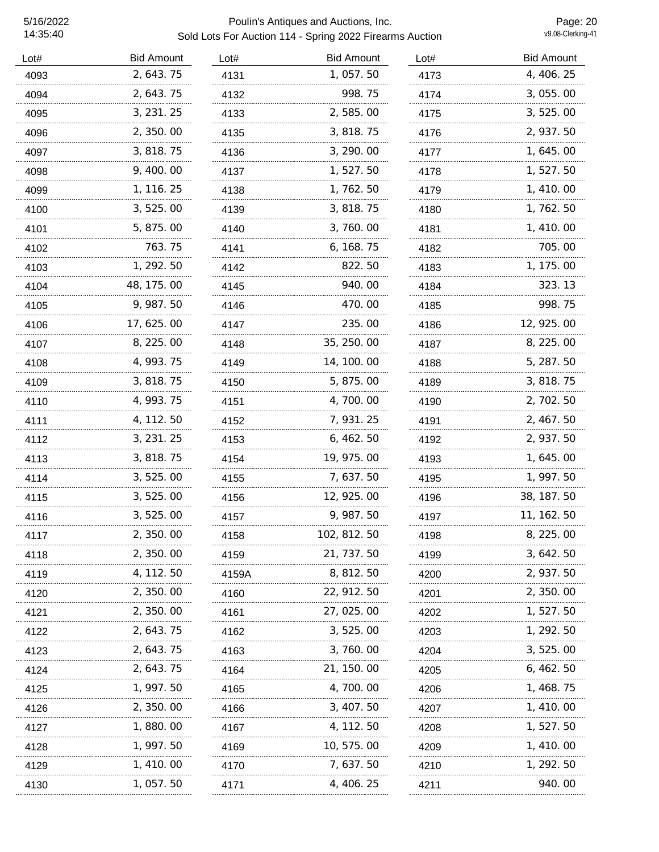| Lot# | <b>Bid Amount</b> | Lot#  | <b>Bid Amount</b> | Lot# | <b>Bid Amount</b> |
|------|-------------------|-------|-------------------|------|-------------------|
| 4093 | 2, 643. 75        | 4131  | 1,057.50          | 4173 | 4, 406. 25        |
| 4094 | 2, 643. 75        | 4132  | 998.75            | 4174 | 3, 055. 00        |
| 4095 | 3, 231. 25        | 4133  | 2,585.00          | 4175 | 3, 525.00         |
| 4096 | 2, 350.00         | 4135  | 3, 818. 75        | 4176 | 2, 937.50         |
| 4097 | 3, 818. 75        | 4136  | 3, 290.00         | 4177 | 1, 645. 00        |
| 4098 | 9, 400. 00        | 4137  | 1, 527. 50        | 4178 | 1, 527. 50        |
| 4099 | 1, 116. 25        | 4138  | 1, 762. 50        | 4179 | 1, 410.00         |
| 4100 | 3,525.00          | 4139  | 3, 818. 75        | 4180 | 1, 762. 50        |
| 4101 | 5, 875.00         | 4140  | 3,760.00          | 4181 | 1, 410.00         |
| 4102 | 763.75            | 4141  | 6, 168. 75        | 4182 | 705.00            |
| 4103 | 1, 292. 50        | 4142  | 822.50            | 4183 | 1, 175.00         |
| 4104 | 48, 175. 00       | 4145  | 940.00            | 4184 | 323.13            |
| 4105 | 9, 987.50         | 4146  | 470.00            | 4185 | 998.75            |
| 4106 | 17, 625. 00       | 4147  | 235.00            | 4186 | 12, 925.00        |
| 4107 | 8, 225.00         | 4148  | 35, 250.00        | 4187 | 8, 225.00         |
| 4108 | 4, 993. 75        | 4149  | 14, 100. 00       | 4188 | 5, 287.50         |
| 4109 | 3, 818. 75        | 4150  | 5, 875.00         | 4189 | 3, 818. 75        |
| 4110 | 4, 993. 75        | 4151  | 4,700.00          | 4190 | 2, 702. 50        |
| 4111 | 4, 112. 50        | 4152  | 7, 931.25         | 4191 | 2, 467.50         |
| 4112 | 3, 231. 25        | 4153  | 6,462.50          | 4192 | 2, 937.50         |
| 4113 | 3, 818. 75        | 4154  | 19, 975.00        | 4193 | 1, 645. 00        |
| 4114 | 3, 525.00         | 4155  | 7,637.50          | 4195 | 1, 997.50         |
| 4115 | 3, 525.00         | 4156  | 12, 925.00        | 4196 | 38, 187.50        |
| 4116 | 3,525.00          | 4157  | 9, 987.50         | 4197 | 11, 162. 50       |
| 4117 | 2,350.00          | 4158  | 102, 812. 50      | 4198 | 8, 225.00         |
| 4118 | 2, 350.00         | 4159  | 21, 737. 50       | 4199 | 3, 642. 50        |
| 4119 | 4, 112. 50        | 4159A | 8, 812. 50        | 4200 | 2, 937.50         |
| 4120 | 2,350.00          | 4160  | 22, 912. 50       | 4201 | 2, 350.00         |
| 4121 | 2, 350, 00        | 4161  | 27, 025.00        | 4202 | 1, 527. 50        |
| 4122 | 2, 643. 75        | 4162  | 3, 525.00         | 4203 | 1, 292. 50        |
| 4123 | 2, 643. 75        | 4163  | 3, 760, 00        | 4204 | 3, 525.00         |
| 4124 | 2, 643. 75        | 4164  | 21, 150, 00       | 4205 | 6, 462. 50        |
| 4125 | 1, 997. 50        | 4165  | 4, 700. 00        | 4206 | 1, 468. 75        |
| 4126 | 2, 350.00         | 4166  | 3, 407.50         | 4207 | 1, 410. 00        |
| 4127 | 1, 880. 00        | 4167  | 4, 112. 50        | 4208 | 1, 527. 50        |
| 4128 | 1, 997. 50        | 4169  | 10, 575. 00       | 4209 | 1, 410. 00        |
| 4129 | 1, 410. 00        | 4170  | 7, 637.50         | 4210 | 1, 292. 50        |
| 4130 | 1, 057. 50        | 4171  | 4, 406. 25        | 4211 | 940.00            |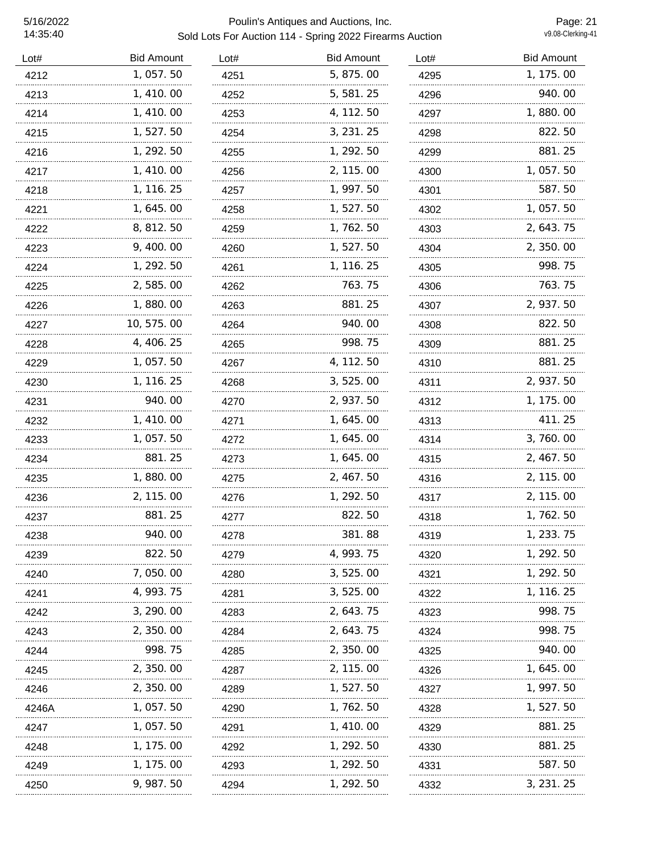### 5/16/2022 Poulin's Antiques and Auctions, Inc. Sold Lots For Auction 114 - Spring 2022 Firearms Auction

Page: 21<br>v9.08-Clerking-41

| Lot#  | <b>Bid Amount</b> | Lot# | <b>Bid Amount</b> | Lot# | <b>Bid Amount</b> |
|-------|-------------------|------|-------------------|------|-------------------|
| 4212  | 1,057.50          | 4251 | 5, 875.00         | 4295 | 1, 175.00         |
| 4213  | 1, 410.00         | 4252 | 5, 581.25         | 4296 | 940.00            |
| 4214  | 1, 410.00         | 4253 | 4, 112. 50        | 4297 | 1,880.00          |
| 4215  | 1, 527. 50        | 4254 | 3, 231. 25        | 4298 | 822.50            |
| 4216  | 1, 292.50         | 4255 | 1, 292.50         | 4299 | 881.25            |
| 4217  | 1, 410.00         | 4256 | 2, 115.00         | 4300 | 1,057.50          |
| 4218  | 1, 116. 25        | 4257 | 1, 997.50         | 4301 | 587.50            |
| 4221  | 1, 645.00         | 4258 | 1, 527.50         | 4302 | 1, 057.50         |
| 4222  | 8, 812. 50        | 4259 | 1,762.50          | 4303 | 2, 643. 75        |
| 4223  | 9, 400.00         | 4260 | 1, 527.50         | 4304 | 2, 350.00         |
| 4224  | 1, 292. 50        | 4261 | 1, 116. 25        | 4305 | 998.75            |
| 4225  | 2,585.00          | 4262 | 763.75            | 4306 | 763.75            |
| 4226  | 1,880.00          | 4263 | 881.25            | 4307 | 2, 937.50         |
| 4227  | 10, 575.00        | 4264 | 940.00            | 4308 | 822.50            |
| 4228  | 4, 406. 25        | 4265 | 998.75            | 4309 | 881.25            |
| 4229  | 1, 057.50         | 4267 | 4, 112. 50        | 4310 | 881.25            |
| 4230  | 1, 116. 25        | 4268 | 3, 525.00         | 4311 | 2, 937.50         |
| 4231  | 940.00            | 4270 | 2, 937.50         | 4312 | 1, 175.00         |
| 4232  | 1, 410.00         | 4271 | 1, 645.00         | 4313 | 411.25            |
| 4233  | 1, 057.50         | 4272 | 1, 645. 00        | 4314 | 3,760.00          |
| 4234  | 881.25            | 4273 | 1, 645.00         | 4315 | 2, 467. 50        |
| 4235  | 1,880.00          | 4275 | 2, 467. 50        | 4316 | 2, 115.00         |
| 4236  | 2, 115.00         | 4276 | 1, 292. 50        | 4317 | 2, 115.00         |
| 4237  | 881.25            | 4277 | 822.50            | 4318 | 1, 762. 50        |
| 4238  | 940. OO           | 4278 | 381.88            | 4319 | 1, 233. 75        |
| 4239  | 822.50            | 4279 | 4, 993. 75        | 4320 | 1, 292. 50        |
| 4240  | 7,050.00          | 4280 | 3, 525.00         | 4321 | 1, 292. 50        |
| 4241  | 4, 993. 75        | 4281 | 3, 525. 00        | 4322 | 1, 116. 25        |
| 4242  | 3, 290. 00        | 4283 | 2, 643. 75        | 4323 | 998. 75           |
| 4243  | 2, 350.00         | 4284 | 2, 643. 75        | 4324 | 998. 75           |
| 4244  | 998.75            | 4285 | 2, 350.00         | 4325 | 940. 00           |
| 4245  | 2, 350.00         | 4287 | 2, 115.00         | 4326 | 1, 645. 00        |
| 4246  | 2, 350.00         | 4289 | 1, 527. 50        | 4327 | 1, 997. 50        |
| 4246A | 1, 057. 50        | 4290 | 1, 762. 50        | 4328 | 1, 527. 50        |
| 4247  | 1, 057.50         | 4291 | 1, 410. 00        | 4329 | 881.25            |
| 4248  | 1, 175. 00        | 4292 | 1, 292. 50        | 4330 | 881.25            |
| 4249  | 1, 175. 00        | 4293 | 1, 292. 50        | 4331 | 587.50            |
| 4250  | 9, 987. 50        | 4294 | 1, 292. 50        | 4332 | 3, 231. 25        |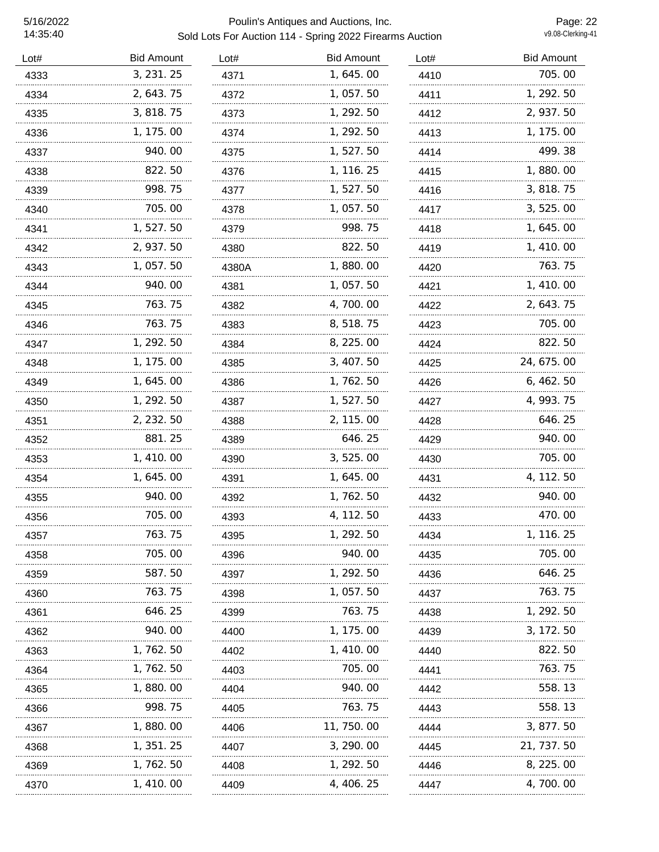| Lot# | <b>Bid Amount</b> | Lot#  | <b>Bid Amount</b> | Lot#      | <b>Bid Amount</b> |
|------|-------------------|-------|-------------------|-----------|-------------------|
| 4333 | 3, 231. 25        | 4371  | 1,645.00          | 4410      | 705.00            |
| 4334 | 2, 643. 75        | 4372  | 1, 057.50         | 4411      | 1, 292. 50        |
| 4335 | 3, 818.75         | 4373  | 1, 292.50         | 4412<br>. | 2, 937.50         |
| 4336 | 1, 175.00         | 4374  | 1, 292.50         | 4413      | 1, 175.00         |
| 4337 | 940.00            | 4375  | 1,527.50          | 4414      | 499.38            |
| 4338 | 822.50            | 4376  | 1, 116. 25        | 4415      | 1,880.00          |
| 4339 | 998.75            | 4377  | 1, 527.50         | 4416      | 3, 818. 75        |
| 4340 | 705.00            | 4378  | 1, 057.50         | 4417      | 3, 525.00         |
| 4341 | 1,527.50          | 4379  | 998.75            | 4418      | 1, 645. 00        |
| 4342 | 2, 937.50         | 4380  | 822.50            | 4419      | 1, 410.00         |
| 4343 | 1, 057.50         | 4380A | 1,880.00          | 4420      | 763.75            |
| 4344 | 940.00            | 4381  | 1, 057. 50        | 4421      | 1, 410.00         |
| 4345 | 763.75            | 4382  | 4,700.00          | 4422      | 2, 643. 75        |
| 4346 | 763.75            | 4383  | 8, 518. 75        | 4423      | 705.00            |
| 4347 | 1, 292. 50        | 4384  | 8, 225.00         | 4424      | 822.50            |
| 4348 | 1, 175.00         | 4385  | 3, 407.50         | 4425      | 24, 675.00        |
| 4349 | 1, 645.00         | 4386  | 1, 762. 50        | 4426      | 6, 462. 50        |
| 4350 | 1, 292. 50        | 4387  | 1, 527. 50        | 4427      | 4, 993. 75        |
| 4351 | 2, 232. 50        | 4388  | 2, 115.00         | 4428      | 646.25            |
| 4352 | 881.25            | 4389  | 646.25            | 4429      | 940.00            |
| 4353 | 1, 410.00         | 4390  | 3, 525.00         | 4430      | 705.00            |
| 4354 | 1, 645. 00        | 4391  | 1, 645. 00        | 4431      | 4, 112. 50        |
| 4355 | 940. 00           | 4392  | 1, 762. 50        | 4432      | 940.00            |
| 4356 | 705.00            | 4393  | 4, 112. 50        | 4433      | 470.00            |
| 4357 | 763.75            | 4395  | 1, 292.50         | 4434      | 1, 116. 25        |
| 4358 | 705.00            | 4396  | 940.00            | 4435      | 705.00            |
| 4359 | 587.50            | 4397  | 1, 292. 50        | 4436      | 646.25            |
| 4360 | 763.75            | 4398  | 1, 057.50         | 4437      | 763.75            |
| 4361 | 646. 25           | 4399  | 763.75            | 4438      | 1, 292. 50        |
| 4362 | 940. 00           | 4400  | 1, 175. 00        | 4439      | 3, 172. 50        |
| 4363 | 1, 762. 50        | 4402  | 1, 410, 00        | 4440      | 822.50            |
| 4364 | 1, 762. 50        | 4403  | 705.00            | 4441      | 763.75            |
| 4365 | 1,880.00          | 4404  | 940.00            | 4442      | 558.13            |
| 4366 | 998.75            | 4405  | 763.75            | 4443      | 558.13            |
| 4367 | 1, 880. 00        | 4406  | 11, 750. 00       | 4444      | 3, 877. 50        |
| 4368 | 1, 351. 25        | 4407  | 3, 290.00         | 4445      | 21, 737. 50       |
| 4369 | 1, 762. 50        | 4408  | 1, 292. 50        | 4446      | 8, 225.00         |
| 4370 | 1, 410. 00        | 4409  | 4, 406. 25        | 4447      | 4, 700.00         |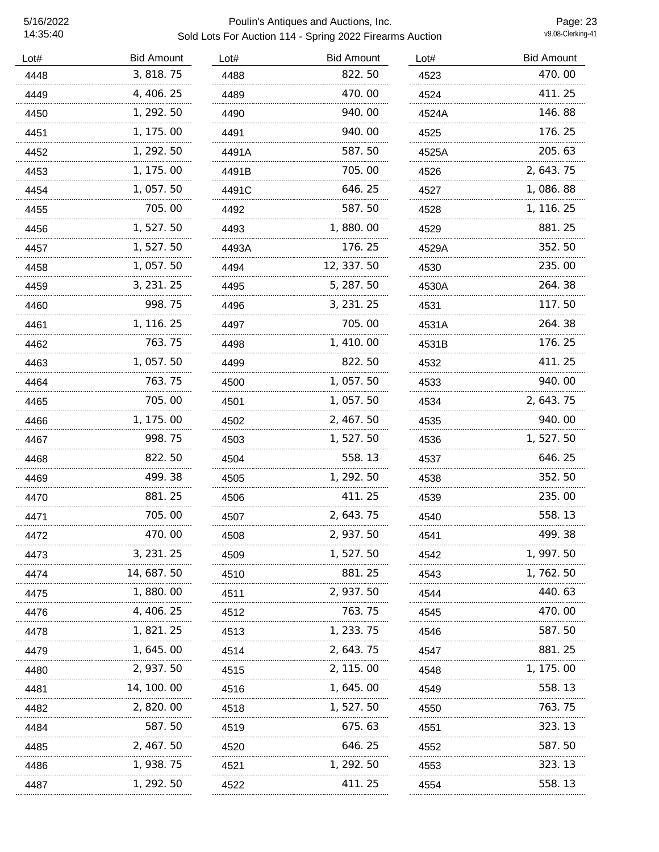### 5/16/2022 Poulin's Antiques and Auctions, Inc. Sold Lots For Auction 114 - Spring 2022 Firearms Auction

Page: 23<br>v9.08-Clerking-41

| Lot# | <b>Bid Amount</b> | Lot#  | <b>Bid Amount</b> | Lot#       | <b>Bid Amount</b> |
|------|-------------------|-------|-------------------|------------|-------------------|
| 4448 | 3, 818.75         | 4488  | 822.50            | 4523       | 470.00            |
| 4449 | 4, 406. 25        | 4489  | 470.00            | 4524       | 411.25            |
| 4450 | 1, 292.50         | 4490  | 940.00            | 4524A<br>. | 146.88            |
| 4451 | 1, 175.00         | 4491  | 940.00            | 4525       | 176.25            |
| 4452 | 1, 292.50         | 4491A | 587.50            | 4525A      | 205.63            |
| 4453 | 1, 175.00         | 4491B | 705.00            | 4526       | 2, 643. 75        |
| 4454 | 1, 057.50         | 4491C | 646.25            | 4527       | 1,086.88          |
| 4455 | 705.00            | 4492  | 587.50            | 4528       | 1, 116. 25        |
| 4456 | 1, 527. 50        | 4493  | 1,880.00          | 4529       | 881.25            |
| 4457 | 1, 527.50         | 4493A | 176.25            | 4529A      | 352.50            |
| 4458 | 1, 057.50         | 4494  | 12, 337.50        | 4530       | 235.00            |
| 4459 | 3, 231. 25        | 4495  | 5, 287.50         | 4530A      | 264.38            |
| 4460 | 998.75            | 4496  | 3, 231. 25        | 4531       | 117.50            |
| 4461 | 1, 116. 25        | 4497  | 705.00            | 4531A      | 264.38            |
| 4462 | 763.75            | 4498  | 1, 410.00         | 4531B      | 176.25            |
| 4463 | 1, 057.50         | 4499  | 822.50            | 4532       | 411.25            |
| 4464 | 763.75            | 4500  | 1,057.50          | 4533       | 940.00            |
| 4465 | 705.00            | 4501  | 1, 057.50         | 4534       | 2, 643. 75        |
| 4466 | 1, 175.00         | 4502  | 2, 467.50         | 4535       | 940.00            |
| 4467 | 998.75            | 4503  | 1,527.50          | 4536       | 1,527.50          |
| 4468 | 822.50            | 4504  | 558.13            | 4537       | 646.25            |
| 4469 | 499.38            | 4505  | 1, 292.50         | 4538       | 352.50            |
| 4470 | 881.25            | 4506  | 411.25            | 4539       | 235.00            |
| 4471 | 705.00<br>        | 4507  | 2, 643. 75        | 4540       | 558.13            |
| 4472 | 470.00            | 4508  | 2, 937.50         | 4541       | 499.38            |
| 4473 | 3, 231. 25        | 4509  | 1, 527. 50        | 4542       | 1, 997. 50        |
| 4474 | 14, 687. 50       | 4510  | 881.25            | 4543       | 1, 762. 50        |
| 4475 | 1, 880. 00        | 4511  | 2, 937.50         | 4544       | 440. 63           |
| 4476 | 4, 406. 25        | 4512  | 763.75            | 4545       | 470. 00           |
| 4478 | 1, 821. 25        | 4513  | 1, 233. 75        | 4546       | 587.50            |
| 4479 | 1, 645. 00        | 4514  | 2, 643. 75        | 4547       | 881.25            |
| 4480 | 2, 937. 50        | 4515  | 2, 115.00         | 4548       | 1, 175. 00        |
| 4481 | 14, 100. 00       | 4516  | 1, 645. 00        | 4549       | 558.13            |
| 4482 | 2, 820, 00        | 4518  | 1, 527. 50        | 4550       | 763.75            |
| 4484 | 587.50            | 4519  | 675.63            | 4551       | 323.13            |
| 4485 | 2, 467. 50        | 4520  | 646.25            | 4552       | 587.50            |
| 4486 | 1, 938. 75        | 4521  | 1, 292. 50        | 4553       | 323.13            |
| 4487 | 1, 292. 50        | 4522  | 411.25            | 4554       | 558.13            |
|      |                   |       |                   |            |                   |